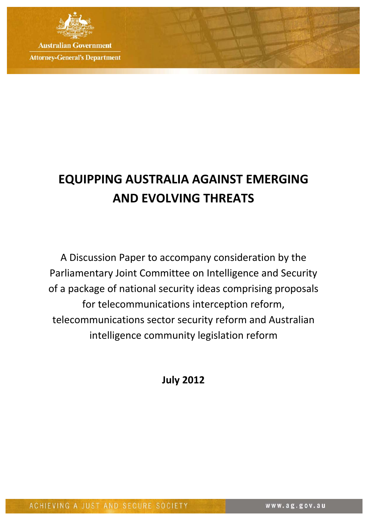

**Australian Government Attorney-General's Department** 

# **EQUIPPING AUSTRALIA AGAINST EMERGING AND EVOLVING THREATS**

A Discussion Paper to accompany consideration by the Parliamentary Joint Committee on Intelligence and Security of a package of national security ideas comprising proposals for telecommunications interception reform, telecommunications sector security reform and Australian intelligence community legislation reform

**July 2012**

ACHIEVING A JUST AND SECURE SOCIETY

www.ag.gov.au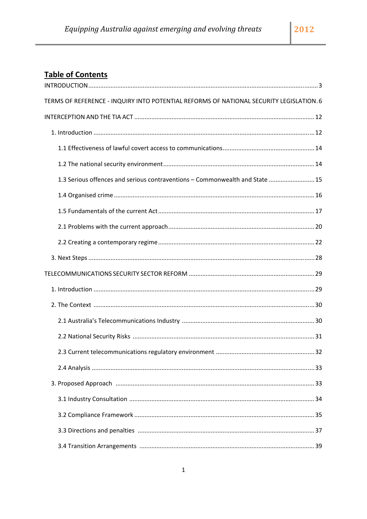## **Table of Contents**

| TERMS OF REFERENCE - INQUIRY INTO POTENTIAL REFORMS OF NATIONAL SECURITY LEGISLATION. 6 |
|-----------------------------------------------------------------------------------------|
|                                                                                         |
|                                                                                         |
|                                                                                         |
|                                                                                         |
| 1.3 Serious offences and serious contraventions - Commonwealth and State  15            |
|                                                                                         |
|                                                                                         |
|                                                                                         |
|                                                                                         |
|                                                                                         |
|                                                                                         |
|                                                                                         |
|                                                                                         |
|                                                                                         |
|                                                                                         |
|                                                                                         |
|                                                                                         |
|                                                                                         |
|                                                                                         |
|                                                                                         |
|                                                                                         |
|                                                                                         |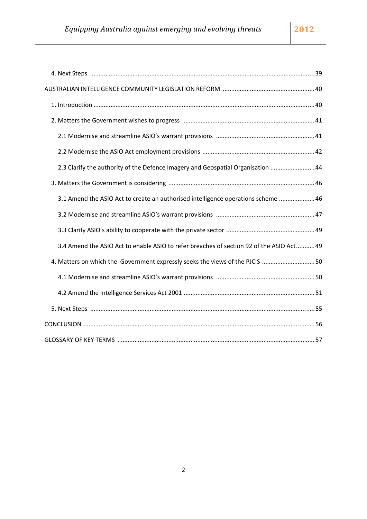| 2.3 Clarify the authority of the Defence Imagery and Geospatial Organisation  44         |
|------------------------------------------------------------------------------------------|
|                                                                                          |
| 3.1 Amend the ASIO Act to create an authorised intelligence operations scheme  46        |
|                                                                                          |
|                                                                                          |
| 3.4 Amend the ASIO Act to enable ASIO to refer breaches of section 92 of the ASIO Act 49 |
| 4. Matters on which the Government expressly seeks the views of the PJCIS 50             |
|                                                                                          |
|                                                                                          |
|                                                                                          |
|                                                                                          |
|                                                                                          |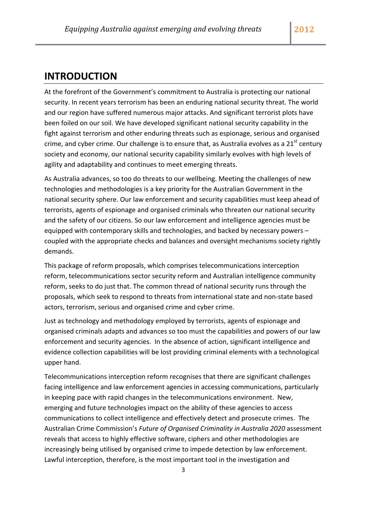## <span id="page-3-0"></span>**INTRODUCTION**

At the forefront of the Government's commitment to Australia is protecting our national security. In recent years terrorism has been an enduring national security threat. The world and our region have suffered numerous major attacks. And significant terrorist plots have been foiled on our soil. We have developed significant national security capability in the fight against terrorism and other enduring threats such as espionage, serious and organised crime, and cyber crime. Our challenge is to ensure that, as Australia evolves as a  $21<sup>st</sup>$  century society and economy, our national security capability similarly evolves with high levels of agility and adaptability and continues to meet emerging threats.

As Australia advances, so too do threats to our wellbeing. Meeting the challenges of new technologies and methodologies is a key priority for the Australian Government in the national security sphere. Our law enforcement and security capabilities must keep ahead of terrorists, agents of espionage and organised criminals who threaten our national security and the safety of our citizens. So our law enforcement and intelligence agencies must be equipped with contemporary skills and technologies, and backed by necessary powers – coupled with the appropriate checks and balances and oversight mechanisms society rightly demands.

This package of reform proposals, which comprises telecommunications interception reform, telecommunications sector security reform and Australian intelligence community reform, seeks to do just that. The common thread of national security runs through the proposals, which seek to respond to threats from international state and non‐state based actors, terrorism, serious and organised crime and cyber crime.

Just as technology and methodology employed by terrorists, agents of espionage and organised criminals adapts and advances so too must the capabilities and powers of our law enforcement and security agencies. In the absence of action, significant intelligence and evidence collection capabilities will be lost providing criminal elements with a technological upper hand.

Telecommunications interception reform recognises that there are significant challenges facing intelligence and law enforcement agencies in accessing communications, particularly in keeping pace with rapid changes in the telecommunications environment. New, emerging and future technologies impact on the ability of these agencies to access communications to collect intelligence and effectively detect and prosecute crimes. The Australian Crime Commission's *Future of Organised Criminality in Australia 2020* assessment reveals that access to highly effective software, ciphers and other methodologies are increasingly being utilised by organised crime to impede detection by law enforcement. Lawful interception, therefore, is the most important tool in the investigation and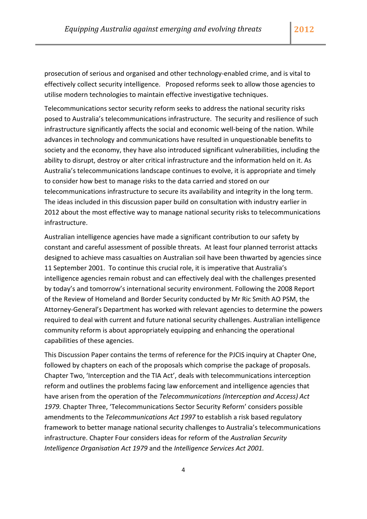prosecution of serious and organised and other technology‐enabled crime, and is vital to effectively collect security intelligence. Proposed reforms seek to allow those agencies to utilise modern technologies to maintain effective investigative techniques.

Telecommunications sector security reform seeks to address the national security risks posed to Australia's telecommunications infrastructure. The security and resilience of such infrastructure significantly affects the social and economic well‐being of the nation. While advances in technology and communications have resulted in unquestionable benefits to society and the economy, they have also introduced significant vulnerabilities, including the ability to disrupt, destroy or alter critical infrastructure and the information held on it. As Australia's telecommunications landscape continues to evolve, it is appropriate and timely to consider how best to manage risks to the data carried and stored on our telecommunications infrastructure to secure its availability and integrity in the long term. The ideas included in this discussion paper build on consultation with industry earlier in 2012 about the most effective way to manage national security risks to telecommunications infrastructure.

Australian intelligence agencies have made a significant contribution to our safety by constant and careful assessment of possible threats. At least four planned terrorist attacks designed to achieve mass casualties on Australian soil have been thwarted by agencies since 11 September 2001. To continue this crucial role, it is imperative that Australia's intelligence agencies remain robust and can effectively deal with the challenges presented by today's and tomorrow's international security environment. Following the 2008 Report of the Review of Homeland and Border Security conducted by Mr Ric Smith AO PSM, the Attorney‐General's Department has worked with relevant agencies to determine the powers required to deal with current and future national security challenges. Australian intelligence community reform is about appropriately equipping and enhancing the operational capabilities of these agencies.

This Discussion Paper contains the terms of reference for the PJCIS inquiry at Chapter One, followed by chapters on each of the proposals which comprise the package of proposals. Chapter Two, 'Interception and the TIA Act', deals with telecommunications interception reform and outlines the problems facing law enforcement and intelligence agencies that have arisen from the operation of the *Telecommunications (Interception and Access) Act 1979.* Chapter Three, 'Telecommunications Sector Security Reform' considers possible amendments to the *Telecommunications Act 1997* to establish a risk based regulatory framework to better manage national security challenges to Australia's telecommunications infrastructure. Chapter Four considers ideas for reform of the *Australian Security Intelligence Organisation Act 1979* and the *Intelligence Services Act 2001.*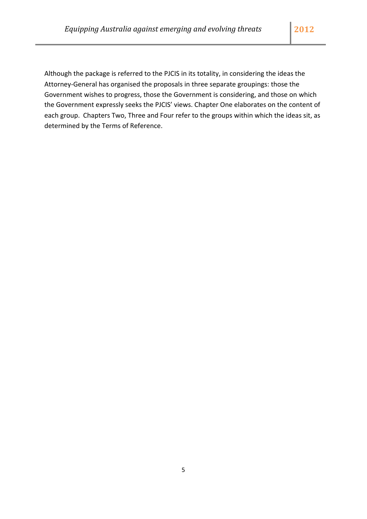Although the package is referred to the PJCIS in its totality, in considering the ideas the Attorney‐General has organised the proposals in three separate groupings: those the Government wishes to progress, those the Government is considering, and those on which the Government expressly seeks the PJCIS' views. Chapter One elaborates on the content of each group. Chapters Two, Three and Four refer to the groups within which the ideas sit, as determined by the Terms of Reference.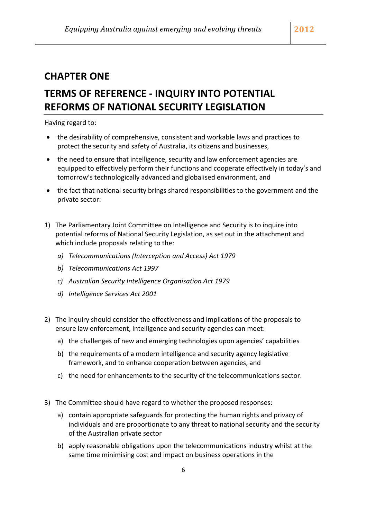## <span id="page-6-0"></span>**CHAPTER ONE**

## **TERMS OF REFERENCE ‐ INQUIRY INTO POTENTIAL REFORMS OF NATIONAL SECURITY LEGISLATION**

Having regard to:

- the desirability of comprehensive, consistent and workable laws and practices to protect the security and safety of Australia, its citizens and businesses,
- the need to ensure that intelligence, security and law enforcement agencies are equipped to effectively perform their functions and cooperate effectively in today's and tomorrow's technologically advanced and globalised environment, and
- the fact that national security brings shared responsibilities to the government and the private sector:
- 1) The Parliamentary Joint Committee on Intelligence and Security is to inquire into potential reforms of National Security Legislation, as set out in the attachment and which include proposals relating to the:
	- *a) Telecommunications (Interception and Access) Act 1979*
	- *b) Telecommunications Act 1997*
	- *c) Australian Security Intelligence Organisation Act 1979*
	- *d) Intelligence Services Act 2001*
- 2) The inquiry should consider the effectiveness and implications of the proposals to ensure law enforcement, intelligence and security agencies can meet:
	- a) the challenges of new and emerging technologies upon agencies' capabilities
	- b) the requirements of a modern intelligence and security agency legislative framework, and to enhance cooperation between agencies, and
	- c) the need for enhancements to the security of the telecommunications sector.
- 3) The Committee should have regard to whether the proposed responses:
	- a) contain appropriate safeguards for protecting the human rights and privacy of individuals and are proportionate to any threat to national security and the security of the Australian private sector
	- b) apply reasonable obligations upon the telecommunications industry whilst at the same time minimising cost and impact on business operations in the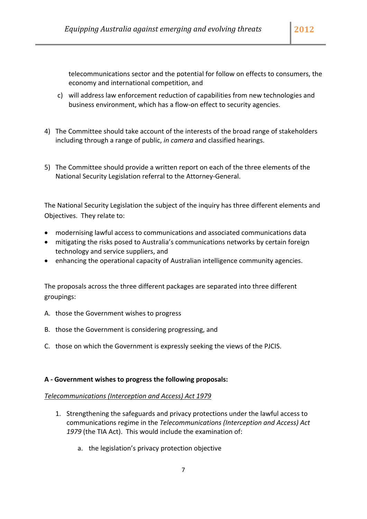telecommunications sector and the potential for follow on effects to consumers, the economy and international competition, and

- c) will address law enforcement reduction of capabilities from new technologies and business environment, which has a flow‐on effect to security agencies.
- 4) The Committee should take account of the interests of the broad range of stakeholders including through a range of public, *in camera* and classified hearings.
- 5) The Committee should provide a written report on each of the three elements of the National Security Legislation referral to the Attorney‐General.

The National Security Legislation the subject of the inquiry has three different elements and Objectives. They relate to:

- modernising lawful access to communications and associated communications data
- mitigating the risks posed to Australia's communications networks by certain foreign technology and service suppliers, and
- enhancing the operational capacity of Australian intelligence community agencies.

The proposals across the three different packages are separated into three different groupings:

- A. those the Government wishes to progress
- B. those the Government is considering progressing, and
- C. those on which the Government is expressly seeking the views of the PJCIS.

#### **A ‐ Government wishes to progress the following proposals:**

#### *Telecommunications (Interception and Access) Act 1979*

- 1. Strengthening the safeguards and privacy protections under the lawful access to communications regime in the *Telecommunications (Interception and Access) Act 1979* (the TIA Act). This would include the examination of:
	- a. the legislation's privacy protection objective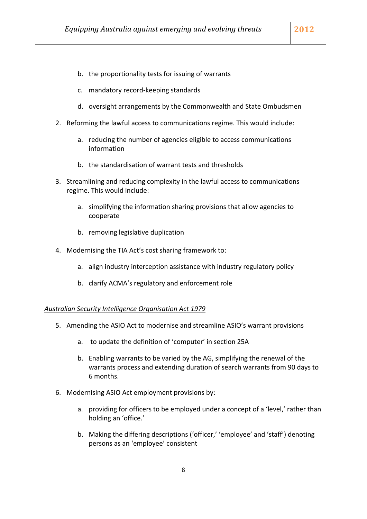- b. the proportionality tests for issuing of warrants
- c. mandatory record‐keeping standards
- d. oversight arrangements by the Commonwealth and State Ombudsmen
- 2. Reforming the lawful access to communications regime. This would include:
	- a. reducing the number of agencies eligible to access communications information
	- b. the standardisation of warrant tests and thresholds
- 3. Streamlining and reducing complexity in the lawful access to communications regime. This would include:
	- a. simplifying the information sharing provisions that allow agencies to cooperate
	- b. removing legislative duplication
- 4. Modernising the TIA Act's cost sharing framework to:
	- a. align industry interception assistance with industry regulatory policy
	- b. clarify ACMA's regulatory and enforcement role

#### *Australian Security Intelligence Organisation Act 1979*

- 5. Amending the ASIO Act to modernise and streamline ASIO's warrant provisions
	- a. to update the definition of 'computer' in section 25A
	- b. Enabling warrants to be varied by the AG, simplifying the renewal of the warrants process and extending duration of search warrants from 90 days to 6 months.
- 6. Modernising ASIO Act employment provisions by:
	- a. providing for officers to be employed under a concept of a 'level,' rather than holding an 'office.'
	- b. Making the differing descriptions ('officer,' 'employee' and 'staff') denoting persons as an 'employee' consistent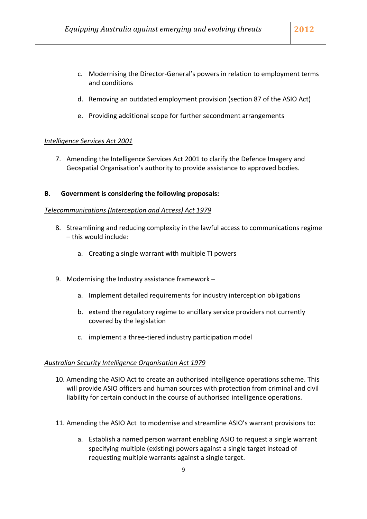- c. Modernising the Director‐General's powers in relation to employment terms and conditions
- d. Removing an outdated employment provision (section 87 of the ASIO Act)
- e. Providing additional scope for further secondment arrangements

#### *Intelligence Services Act 2001*

7. Amending the Intelligence Services Act 2001 to clarify the Defence Imagery and Geospatial Organisation's authority to provide assistance to approved bodies.

#### **B. Government is considering the following proposals:**

#### *Telecommunications (Interception and Access) Act 1979*

- 8. Streamlining and reducing complexity in the lawful access to communications regime – this would include:
	- a. Creating a single warrant with multiple TI powers
- 9. Modernising the Industry assistance framework
	- a. Implement detailed requirements for industry interception obligations
	- b. extend the regulatory regime to ancillary service providers not currently covered by the legislation
	- c. implement a three‐tiered industry participation model

#### *Australian Security Intelligence Organisation Act 1979*

- 10. Amending the ASIO Act to create an authorised intelligence operations scheme. This will provide ASIO officers and human sources with protection from criminal and civil liability for certain conduct in the course of authorised intelligence operations.
- 11. Amending the ASIO Act to modernise and streamline ASIO's warrant provisions to:
	- a. Establish a named person warrant enabling ASIO to request a single warrant specifying multiple (existing) powers against a single target instead of requesting multiple warrants against a single target.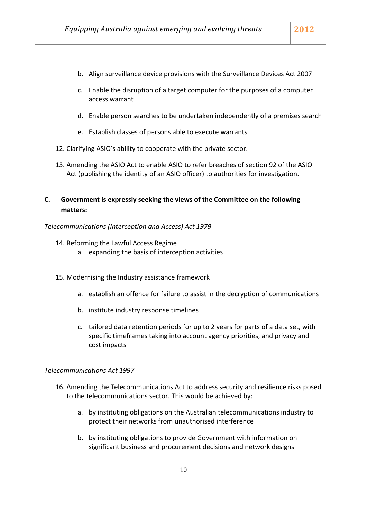- b. Align surveillance device provisions with the Surveillance Devices Act 2007
- c. Enable the disruption of a target computer for the purposes of a computer access warrant
- d. Enable person searches to be undertaken independently of a premises search
- e. Establish classes of persons able to execute warrants
- 12. Clarifying ASIO's ability to cooperate with the private sector.
- 13. Amending the ASIO Act to enable ASIO to refer breaches of section 92 of the ASIO Act (publishing the identity of an ASIO officer) to authorities for investigation.

## **C. Government is expressly seeking the views of the Committee on the following matters:**

#### *Telecommunications (Interception and Access) Act 1979*

- 14. Reforming the Lawful Access Regime
	- a. expanding the basis of interception activities
- 15. Modernising the Industry assistance framework
	- a. establish an offence for failure to assist in the decryption of communications
	- b. institute industry response timelines
	- c. tailored data retention periods for up to 2 years for parts of a data set, with specific timeframes taking into account agency priorities, and privacy and cost impacts

#### *Telecommunications Act 1997*

- 16. Amending the Telecommunications Act to address security and resilience risks posed to the telecommunications sector. This would be achieved by:
	- a. by instituting obligations on the Australian telecommunications industry to protect their networks from unauthorised interference
	- b. by instituting obligations to provide Government with information on significant business and procurement decisions and network designs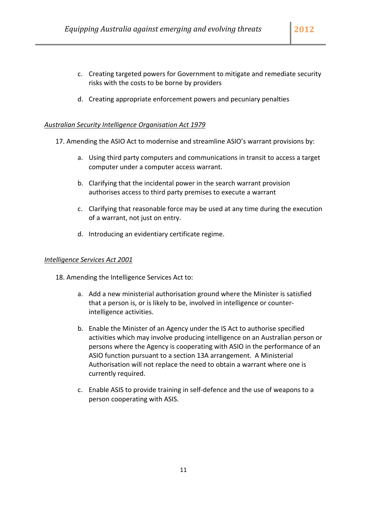- c. Creating targeted powers for Government to mitigate and remediate security risks with the costs to be borne by providers
- d. Creating appropriate enforcement powers and pecuniary penalties

#### *Australian Security Intelligence Organisation Act 1979*

17. Amending the ASIO Act to modernise and streamline ASIO's warrant provisions by:

- a. Using third party computers and communications in transit to access a target computer under a computer access warrant.
- b. Clarifying that the incidental power in the search warrant provision authorises access to third party premises to execute a warrant
- c. Clarifying that reasonable force may be used at any time during the execution of a warrant, not just on entry.
- d. Introducing an evidentiary certificate regime.

#### *Intelligence Services Act 2001*

- 18. Amending the Intelligence Services Act to:
	- a. Add a new ministerial authorisation ground where the Minister is satisfied that a person is, or is likely to be, involved in intelligence or counter‐ intelligence activities.
	- b. Enable the Minister of an Agency under the IS Act to authorise specified activities which may involve producing intelligence on an Australian person or persons where the Agency is cooperating with ASIO in the performance of an ASIO function pursuant to a section 13A arrangement. A Ministerial Authorisation will not replace the need to obtain a warrant where one is currently required.
	- c. Enable ASIS to provide training in self‐defence and the use of weapons to a person cooperating with ASIS.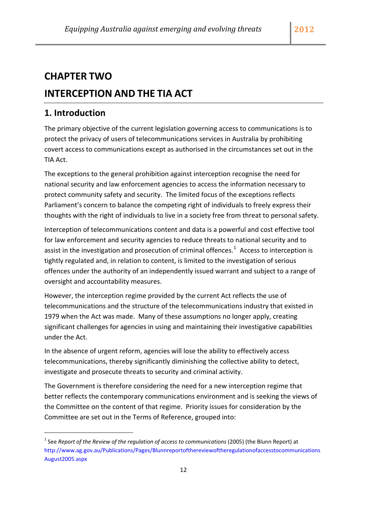## <span id="page-12-0"></span>**CHAPTER TWO**

## **INTERCEPTION AND THE TIA ACT**

## **1. Introduction**

The primary objective of the current legislation governing access to communications is to protect the privacy of users of telecommunications services in Australia by prohibiting covert access to communications except as authorised in the circumstances set out in the TIA Act.

The exceptions to the general prohibition against interception recognise the need for national security and law enforcement agencies to access the information necessary to protect community safety and security. The limited focus of the exceptions reflects Parliament's concern to balance the competing right of individuals to freely express their thoughts with the right of individuals to live in a society free from threat to personal safety.

Interception of telecommunications content and data is a powerful and cost effective tool for law enforcement and security agencies to reduce threats to national security and to assist in the investigation and prosecution of criminal offences.<sup>[1](#page-12-1)</sup> Access to interception is tightly regulated and, in relation to content, is limited to the investigation of serious offences under the authority of an independently issued warrant and subject to a range of oversight and accountability measures.

However, the interception regime provided by the current Act reflects the use of telecommunications and the structure of the telecommunications industry that existed in 1979 when the Act was made. Many of these assumptions no longer apply, creating significant challenges for agencies in using and maintaining their investigative capabilities under the Act.

In the absence of urgent reform, agencies will lose the ability to effectively access telecommunications, thereby significantly diminishing the collective ability to detect, investigate and prosecute threats to security and criminal activity.

The Government is therefore considering the need for a new interception regime that better reflects the contemporary communications environment and is seeking the views of the Committee on the content of that regime. Priority issues for consideration by the Committee are set out in the Terms of Reference, grouped into:

<span id="page-12-1"></span><sup>1</sup> See *Report of the Review of the regulation of access to communications* (2005) (the Blunn Report) at [http://www.ag.gov.au/Publications/Pages/Blunnreportofthereviewoftheregulationofaccesstocommunications](http://www.ag.gov.au/Publications/Pages/BlunnreportofthereviewoftheregulationofaccesstocommunicationsAugust2005.aspx) [August2005.aspx](http://www.ag.gov.au/Publications/Pages/BlunnreportofthereviewoftheregulationofaccesstocommunicationsAugust2005.aspx)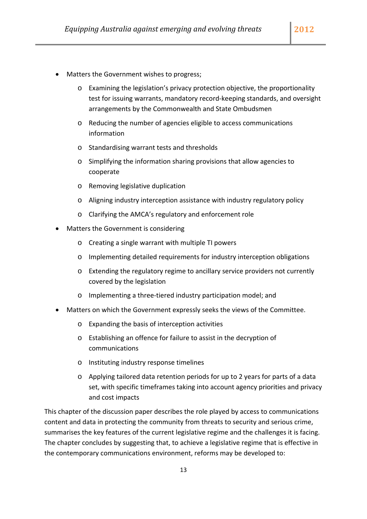- Matters the Government wishes to progress;
	- o Examining the legislation's privacy protection objective, the proportionality test for issuing warrants, mandatory record‐keeping standards, and oversight arrangements by the Commonwealth and State Ombudsmen
	- o Reducing the number of agencies eligible to access communications information
	- o Standardising warrant tests and thresholds
	- o Simplifying the information sharing provisions that allow agencies to cooperate
	- o Removing legislative duplication
	- o Aligning industry interception assistance with industry regulatory policy
	- o Clarifying the AMCA's regulatory and enforcement role
- Matters the Government is considering
	- o Creating a single warrant with multiple TI powers
	- o Implementing detailed requirements for industry interception obligations
	- o Extending the regulatory regime to ancillary service providers not currently covered by the legislation
	- o Implementing a three‐tiered industry participation model; and
- Matters on which the Government expressly seeks the views of the Committee.
	- o Expanding the basis of interception activities
	- o Establishing an offence for failure to assist in the decryption of communications
	- o Instituting industry response timelines
	- o Applying tailored data retention periods for up to 2 years for parts of a data set, with specific timeframes taking into account agency priorities and privacy and cost impacts

This chapter of the discussion paper describes the role played by access to communications content and data in protecting the community from threats to security and serious crime, summarises the key features of the current legislative regime and the challenges it is facing. The chapter concludes by suggesting that, to achieve a legislative regime that is effective in the contemporary communications environment, reforms may be developed to: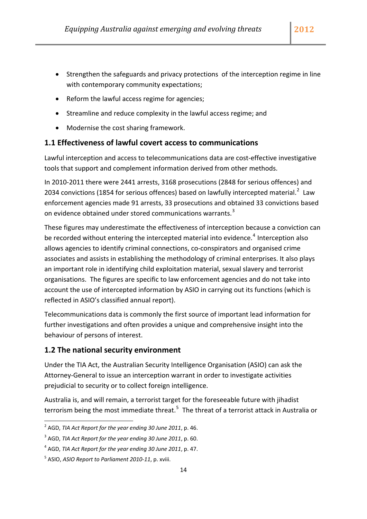- <span id="page-14-0"></span>• Strengthen the safeguards and privacy protections of the interception regime in line with contemporary community expectations;
- Reform the lawful access regime for agencies;
- Streamline and reduce complexity in the lawful access regime; and
- Modernise the cost sharing framework.

#### **1.1 Effectiveness of lawful covert access to communications**

Lawful interception and access to telecommunications data are cost-effective investigative tools that support and complement information derived from other methods.

In 2010‐2011 there were 2441 arrests, 3168 prosecutions (2848 for serious offences) and [2](#page-14-1)034 convictions (1854 for serious offences) based on lawfully intercepted material.<sup>2</sup> Law enforcement agencies made 91 arrests, 33 prosecutions and obtained 33 convictions based on evidence obtained under stored communications warrants. $3$ 

These figures may underestimate the effectiveness of interception because a conviction can be recorded without entering the intercepted material into evidence.<sup>[4](#page-14-3)</sup> Interception also allows agencies to identify criminal connections, co‐conspirators and organised crime associates and assists in establishing the methodology of criminal enterprises. It also plays an important role in identifying child exploitation material, sexual slavery and terrorist organisations. The figures are specific to law enforcement agencies and do not take into account the use of intercepted information by ASIO in carrying out its functions (which is reflected in ASIO's classified annual report).

Telecommunications data is commonly the first source of important lead information for further investigations and often provides a unique and comprehensive insight into the behaviour of persons of interest.

### **1.2 The national security environment**

Under the TIA Act, the Australian Security Intelligence Organisation (ASIO) can ask the Attorney‐General to issue an interception warrant in order to investigate activities prejudicial to security or to collect foreign intelligence.

Australia is, and will remain, a terrorist target for the foreseeable future with jihadist terrorism being the most immediate threat.<sup>[5](#page-14-4)</sup> The threat of a terrorist attack in Australia or

<span id="page-14-1"></span><sup>2</sup> AGD, *TIA Act Report for the year ending 30 June 2011*, p. 46.

<span id="page-14-2"></span><sup>3</sup> AGD, *TIA Act Report for the year ending 30 June 2011*, p. 60.

<span id="page-14-3"></span><sup>4</sup> AGD, *TIA Act Report for the year ending 30 June 2011*, p. 47.

<span id="page-14-4"></span><sup>5</sup> ASIO, *ASIO Report to Parliament 2010‐11*, p. xviii.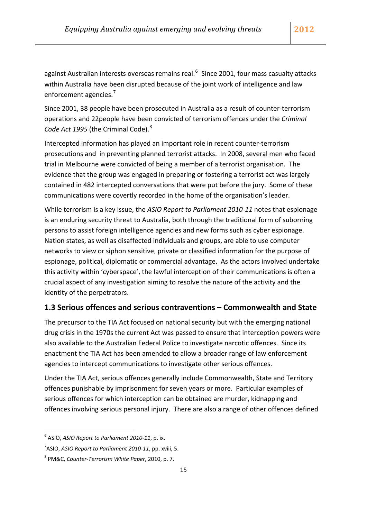<span id="page-15-0"></span>against Australian interests overseas remains real.<sup>[6](#page-15-1)</sup> Since 2001, four mass casualty attacks within Australia have been disrupted because of the joint work of intelligence and law enforcement agencies.<sup>[7](#page-15-2)</sup>

Since 2001, 38 people have been prosecuted in Australia as a result of counter‐terrorism operations and 22people have been convicted of terrorism offences under the *Criminal Code Act 1995* (the Criminal Code).[8](#page-15-3)

Intercepted information has played an important role in recent counter‐terrorism prosecutions and in preventing planned terrorist attacks. In 2008, several men who faced trial in Melbourne were convicted of being a member of a terrorist organisation. The evidence that the group was engaged in preparing or fostering a terrorist act was largely contained in 482 intercepted conversations that were put before the jury. Some of these communications were covertly recorded in the home of the organisation's leader.

While terrorism is a key issue, the *ASIO Report to Parliament 2010‐11* notes that espionage is an enduring security threat to Australia, both through the traditional form of suborning persons to assist foreign intelligence agencies and new forms such as cyber espionage. Nation states, as well as disaffected individuals and groups, are able to use computer networks to view or siphon sensitive, private or classified information for the purpose of espionage, political, diplomatic or commercial advantage. As the actors involved undertake this activity within 'cyberspace', the lawful interception of their communications is often a crucial aspect of any investigation aiming to resolve the nature of the activity and the identity of the perpetrators.

## **1.3 Serious offences and serious contraventions – Commonwealth and State**

The precursor to the TIA Act focused on national security but with the emerging national drug crisis in the 1970s the current Act was passed to ensure that interception powers were also available to the Australian Federal Police to investigate narcotic offences. Since its enactment the TIA Act has been amended to allow a broader range of law enforcement agencies to intercept communications to investigate other serious offences.

Under the TIA Act, serious offences generally include Commonwealth, State and Territory offences punishable by imprisonment for seven years or more. Particular examples of serious offences for which interception can be obtained are murder, kidnapping and offences involving serious personal injury. There are also a range of other offences defined

<span id="page-15-1"></span><sup>6</sup> ASIO, *ASIO Report to Parliament 2010‐11*, p. ix.

<span id="page-15-2"></span><sup>7</sup> ASIO, *ASIO Report to Parliament 2010‐11*, pp. xviii, 5.

<span id="page-15-3"></span><sup>8</sup> PM&C, *Counter‐Terrorism White Paper*, 2010, p. 7.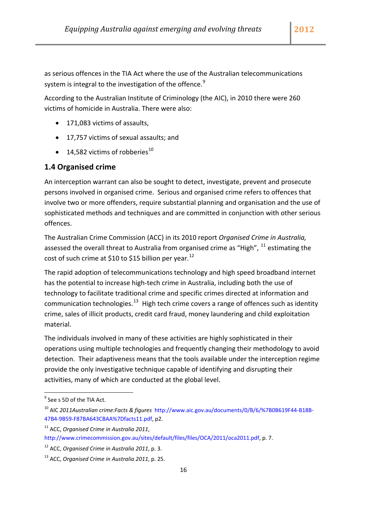<span id="page-16-0"></span>as serious offences in the TIA Act where the use of the Australian telecommunications system is integral to the investigation of the offence.<sup>[9](#page-16-1)</sup>

According to the Australian Institute of Criminology (the AIC), in 2010 there were 260 victims of homicide in Australia. There were also:

- 171,083 victims of assaults.
- 17,757 victims of sexual assaults; and
- 14,582 victims of robberies $^{10}$  $^{10}$  $^{10}$

### **1.4 Organised crime**

An interception warrant can also be sought to detect, investigate, prevent and prosecute persons involved in organised crime. Serious and organised crime refers to offences that involve two or more offenders, require substantial planning and organisation and the use of sophisticated methods and techniques and are committed in conjunction with other serious offences.

The Australian Crime Commission (ACC) in its 2010 report *Organised Crime in Australia,* assessed the overall threat to Australia from organised crime as "High",  $^{11}$  $^{11}$  $^{11}$  estimating the cost of such crime at \$10 to \$15 billion per year.<sup>[12](#page-16-4)</sup>

The rapid adoption of telecommunications technology and high speed broadband internet has the potential to increase high‐tech crime in Australia, including both the use of technology to facilitate traditional crime and specific crimes directed at information and communication technologies.<sup>[13](#page-16-5)</sup> High tech crime covers a range of offences such as identity crime, sales of illicit products, credit card fraud, money laundering and child exploitation material.

The individuals involved in many of these activities are highly sophisticated in their operations using multiple technologies and frequently changing their methodology to avoid detection. Their adaptiveness means that the tools available under the interception regime provide the only investigative technique capable of identifying and disrupting their activities, many of which are conducted at the global level.

<span id="page-16-1"></span> $9^9$  See s 5D of the TIA Act.

<span id="page-16-2"></span><sup>10</sup> AIC *2011Australian crime:Facts & figures* [http://www.aic.gov.au/documents/0/B/6/%7B0B619F44](http://www.aic.gov.au/documents/0/B/6/%7B0B619F44-B18B-47B4-9B59-F87BA643CBAA%7Dfacts11.pdf)‐B18B‐ 47B4‐9B59‐[F87BA643CBAA%7Dfacts11.pdf,](http://www.aic.gov.au/documents/0/B/6/%7B0B619F44-B18B-47B4-9B59-F87BA643CBAA%7Dfacts11.pdf) p2.

<span id="page-16-3"></span><sup>11</sup> ACC, *Organised Crime in Australia 2011*,

[http://www.crimecommission.gov.au/sites/default/files/files/OCA/2011/oca2011.pdf,](http://www.crimecommission.gov.au/sites/default/files/files/OCA/2011/oca2011.pdf) p. 7.

<span id="page-16-4"></span><sup>12</sup> ACC, *Organised Crime in Australia 2011*, p. 3.

<span id="page-16-5"></span><sup>13</sup> ACC, *Organised Crime in Australia 2011*, p. 25.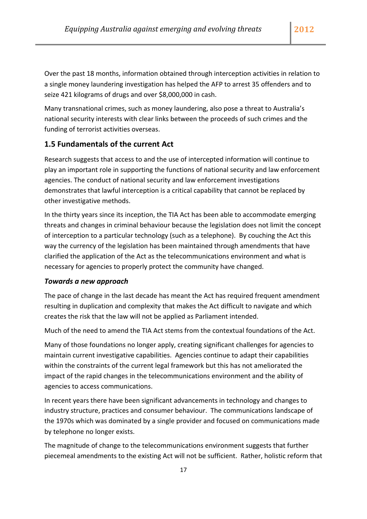<span id="page-17-0"></span>Over the past 18 months, information obtained through interception activities in relation to a single money laundering investigation has helped the AFP to arrest 35 offenders and to seize 421 kilograms of drugs and over \$8,000,000 in cash.

Many transnational crimes, such as money laundering, also pose a threat to Australia's national security interests with clear links between the proceeds of such crimes and the funding of terrorist activities overseas.

## **1.5 Fundamentals of the current Act**

Research suggests that access to and the use of intercepted information will continue to play an important role in supporting the functions of national security and law enforcement agencies. The conduct of national security and law enforcement investigations demonstrates that lawful interception is a critical capability that cannot be replaced by other investigative methods.

In the thirty years since its inception, the TIA Act has been able to accommodate emerging threats and changes in criminal behaviour because the legislation does not limit the concept of interception to a particular technology (such as a telephone). By couching the Act this way the currency of the legislation has been maintained through amendments that have clarified the application of the Act as the telecommunications environment and what is necessary for agencies to properly protect the community have changed.

#### *Towards a new approach*

The pace of change in the last decade has meant the Act has required frequent amendment resulting in duplication and complexity that makes the Act difficult to navigate and which creates the risk that the law will not be applied as Parliament intended.

Much of the need to amend the TIA Act stems from the contextual foundations of the Act.

Many of those foundations no longer apply, creating significant challenges for agencies to maintain current investigative capabilities. Agencies continue to adapt their capabilities within the constraints of the current legal framework but this has not ameliorated the impact of the rapid changes in the telecommunications environment and the ability of agencies to access communications.

In recent years there have been significant advancements in technology and changes to industry structure, practices and consumer behaviour. The communications landscape of the 1970s which was dominated by a single provider and focused on communications made by telephone no longer exists.

The magnitude of change to the telecommunications environment suggests that further piecemeal amendments to the existing Act will not be sufficient. Rather, holistic reform that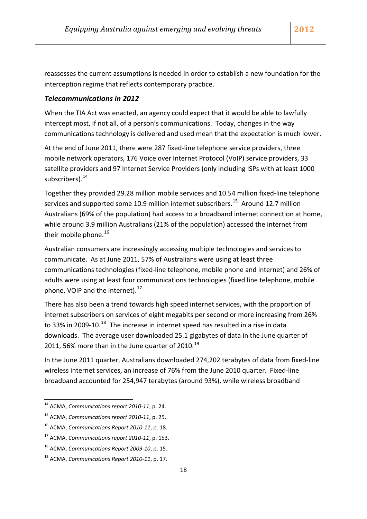reassesses the current assumptions is needed in order to establish a new foundation for the interception regime that reflects contemporary practice.

#### *Telecommunications in 2012*

When the TIA Act was enacted, an agency could expect that it would be able to lawfully intercept most, if not all, of a person's communications. Today, changes in the way communications technology is delivered and used mean that the expectation is much lower.

At the end of June 2011, there were 287 fixed‐line telephone service providers, three mobile network operators, 176 Voice over Internet Protocol (VoIP) service providers, 33 satellite providers and 97 Internet Service Providers (only including ISPs with at least 1000 subscribers). $14$ 

Together they provided 29.28 million mobile services and 10.54 million fixed‐line telephone services and supported some 10.9 million internet subscribers.<sup>[15](#page-18-1)</sup> Around 12.7 million Australians (69% of the population) had access to a broadband internet connection at home, while around 3.9 million Australians (21% of the population) accessed the internet from their mobile phone. $^{16}$  $^{16}$  $^{16}$ 

Australian consumers are increasingly accessing multiple technologies and services to communicate. As at June 2011, 57% of Australians were using at least three communications technologies (fixed‐line telephone, mobile phone and internet) and 26% of adults were using at least four communications technologies (fixed line telephone, mobile phone, VOIP and the internet). $^{17}$  $^{17}$  $^{17}$ 

There has also been a trend towards high speed internet services, with the proportion of internet subscribers on services of eight megabits per second or more increasing from 26% to 33% in 2009-10.<sup>[18](#page-18-4)</sup> The increase in internet speed has resulted in a rise in data downloads. The average user downloaded 25.1 gigabytes of data in the June quarter of 2011, 56% more than in the June quarter of 2010.<sup>[19](#page-18-5)</sup>

In the June 2011 quarter, Australians downloaded 274,202 terabytes of data from fixed‐line wireless internet services, an increase of 76% from the June 2010 quarter. Fixed‐line broadband accounted for 254,947 terabytes (around 93%), while wireless broadband

<sup>14</sup> ACMA, *Communications report 2010‐11*, p. 24.

<span id="page-18-1"></span><span id="page-18-0"></span><sup>15</sup> ACMA, *Communications report 2010‐11*, p. 25.

<span id="page-18-2"></span><sup>16</sup> ACMA, *Communications Report 2010‐11*, p. 18.

<span id="page-18-3"></span><sup>17</sup> ACMA, *Communications report 2010‐11*, p. 153.

<span id="page-18-4"></span><sup>18</sup> ACMA, *Communications Report 2009‐10*, p. 15.

<span id="page-18-5"></span><sup>19</sup> ACMA, *Communications Report 2010‐11*, p. 17.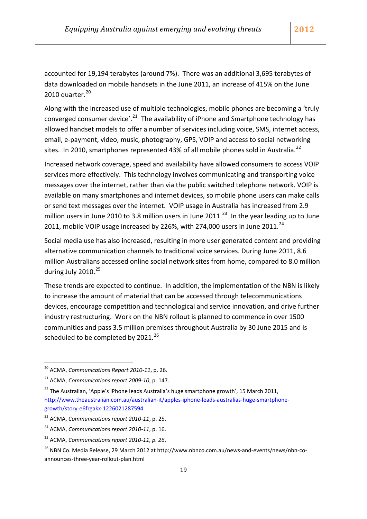accounted for 19,194 terabytes (around 7%). There was an additional 3,695 terabytes of data downloaded on mobile handsets in the June 2011, an increase of 415% on the June [20](#page-19-0)10 quarter. $20$ 

Along with the increased use of multiple technologies, mobile phones are becoming a 'truly converged consumer device'.<sup>[21](#page-19-1)</sup> The availability of iPhone and Smartphone technology has allowed handset models to offer a number of services including voice, SMS, internet access, email, e‐payment, video, music, photography, GPS, VOIP and access to social networking sites. In 2010, smartphones represented 43% of all mobile phones sold in Australia.<sup>[22](#page-19-2)</sup>

Increased network coverage, speed and availability have allowed consumers to access VOIP services more effectively. This technology involves communicating and transporting voice messages over the internet, rather than via the public switched telephone network. VOIP is available on many smartphones and internet devices, so mobile phone users can make calls or send text messages over the internet. VOIP usage in Australia has increased from 2.9 million users in June 2010 to 3.8 million users in June 2011.<sup>[23](#page-19-3)</sup> In the year leading up to June 2011, mobile VOIP usage increased by 226%, with 274,000 users in June 2011.<sup>[24](#page-19-4)</sup>

Social media use has also increased, resulting in more user generated content and providing alternative communication channels to traditional voice services. During June 2011, 8.6 million Australians accessed online social network sites from home, compared to 8.0 million during July 2010.<sup>[25](#page-19-5)</sup>

These trends are expected to continue. In addition, the implementation of the NBN is likely to increase the amount of material that can be accessed through telecommunications devices, encourage competition and technological and service innovation, and drive further industry restructuring. Work on the NBN rollout is planned to commence in over 1500 communities and pass 3.5 million premises throughout Australia by 30 June 2015 and is scheduled to be completed by 2021.<sup>[26](#page-19-6)</sup>

<sup>20</sup> ACMA, *Communications Report 2010‐11*, p. 26.

<span id="page-19-1"></span><span id="page-19-0"></span><sup>21</sup> ACMA, *Communications report 2009‐10*, p. 147.

<span id="page-19-2"></span> $22$  The Australian, 'Apple's iPhone leads Australia's huge smartphone growth', 15 March 2011, [http://www.theaustralian.com.au/australian](http://www.theaustralian.com.au/australian-it/apples-iphone-leads-australias-huge-smartphone-growth/story-e6frgakx-1226021287594)‐it/apples‐iphone‐leads‐australias‐huge‐smartphone‐ growth/story‐e6frgakx‐[1226021287594](http://www.theaustralian.com.au/australian-it/apples-iphone-leads-australias-huge-smartphone-growth/story-e6frgakx-1226021287594)

<span id="page-19-3"></span><sup>23</sup> ACMA, *Communications report 2010‐11*, p. 25.

<span id="page-19-4"></span><sup>24</sup> ACMA, *Communications report 2010‐11*, p. 16.

<span id="page-19-5"></span><sup>25</sup> ACMA, *Communications report 2010‐11, p. 26*.

<span id="page-19-6"></span><sup>&</sup>lt;sup>26</sup> NBN Co. Media Release, 29 March 2012 at http://www.nbnco.com.au/news-and-events/news/nbn-coannounces‐three‐year‐rollout‐plan.html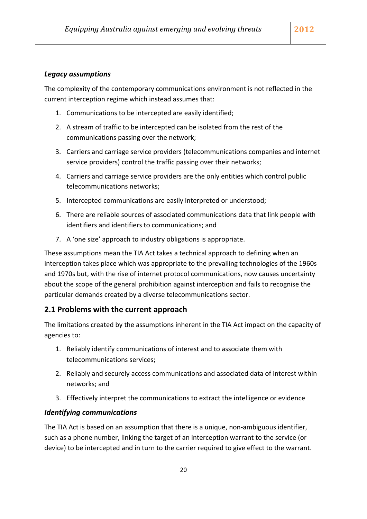#### <span id="page-20-0"></span>*Legacy assumptions*

The complexity of the contemporary communications environment is not reflected in the current interception regime which instead assumes that:

- 1. Communications to be intercepted are easily identified;
- 2. A stream of traffic to be intercepted can be isolated from the rest of the communications passing over the network;
- 3. Carriers and carriage service providers (telecommunications companies and internet service providers) control the traffic passing over their networks;
- 4. Carriers and carriage service providers are the only entities which control public telecommunications networks;
- 5. Intercepted communications are easily interpreted or understood;
- 6. There are reliable sources of associated communications data that link people with identifiers and identifiers to communications; and
- 7. A 'one size' approach to industry obligations is appropriate.

These assumptions mean the TIA Act takes a technical approach to defining when an interception takes place which was appropriate to the prevailing technologies of the 1960s and 1970s but, with the rise of internet protocol communications, now causes uncertainty about the scope of the general prohibition against interception and fails to recognise the particular demands created by a diverse telecommunications sector.

### **2.1 Problems with the current approach**

The limitations created by the assumptions inherent in the TIA Act impact on the capacity of agencies to:

- 1. Reliably identify communications of interest and to associate them with telecommunications services;
- 2. Reliably and securely access communications and associated data of interest within networks; and
- 3. Effectively interpret the communications to extract the intelligence or evidence

#### *Identifying communications*

The TIA Act is based on an assumption that there is a unique, non-ambiguous identifier, such as a phone number, linking the target of an interception warrant to the service (or device) to be intercepted and in turn to the carrier required to give effect to the warrant.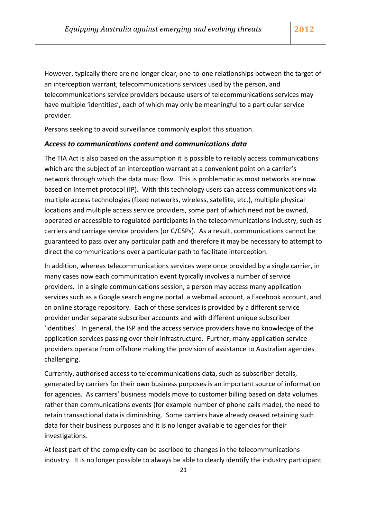However, typically there are no longer clear, one-to-one relationships between the target of an interception warrant, telecommunications services used by the person, and telecommunications service providers because users of telecommunications services may have multiple 'identities', each of which may only be meaningful to a particular service provider.

Persons seeking to avoid surveillance commonly exploit this situation.

#### *Access to communications content and communications data*

The TIA Act is also based on the assumption it is possible to reliably access communications which are the subject of an interception warrant at a convenient point on a carrier's network through which the data must flow. This is problematic as most networks are now based on Internet protocol (IP). With this technology users can access communications via multiple access technologies (fixed networks, wireless, satellite, etc.), multiple physical locations and multiple access service providers, some part of which need not be owned, operated or accessible to regulated participants in the telecommunications industry, such as carriers and carriage service providers (or C/CSPs). As a result, communications cannot be guaranteed to pass over any particular path and therefore it may be necessary to attempt to direct the communications over a particular path to facilitate interception.

In addition, whereas telecommunications services were once provided by a single carrier, in many cases now each communication event typically involves a number of service providers. In a single communications session, a person may access many application services such as a Google search engine portal, a webmail account, a Facebook account, and an online storage repository. Each of these services is provided by a different service provider under separate subscriber accounts and with different unique subscriber 'identities'. In general, the ISP and the access service providers have no knowledge of the application services passing over their infrastructure. Further, many application service providers operate from offshore making the provision of assistance to Australian agencies challenging.

Currently, authorised access to telecommunications data, such as subscriber details, generated by carriers for their own business purposes is an important source of information for agencies. As carriers' business models move to customer billing based on data volumes rather than communications events (for example number of phone calls made), the need to retain transactional data is diminishing. Some carriers have already ceased retaining such data for their business purposes and it is no longer available to agencies for their investigations.

At least part of the complexity can be ascribed to changes in the telecommunications industry. It is no longer possible to always be able to clearly identify the industry participant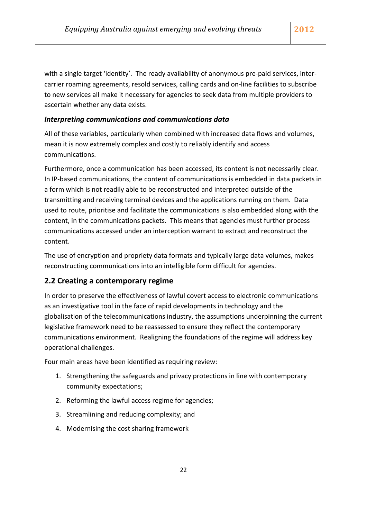<span id="page-22-0"></span>with a single target 'identity'. The ready availability of anonymous pre-paid services, intercarrier roaming agreements, resold services, calling cards and on‐line facilities to subscribe to new services all make it necessary for agencies to seek data from multiple providers to ascertain whether any data exists.

### *Interpreting communications and communications data*

All of these variables, particularly when combined with increased data flows and volumes, mean it is now extremely complex and costly to reliably identify and access communications.

Furthermore, once a communication has been accessed, its content is not necessarily clear. In IP-based communications, the content of communications is embedded in data packets in a form which is not readily able to be reconstructed and interpreted outside of the transmitting and receiving terminal devices and the applications running on them. Data used to route, prioritise and facilitate the communications is also embedded along with the content, in the communications packets. This means that agencies must further process communications accessed under an interception warrant to extract and reconstruct the content.

The use of encryption and propriety data formats and typically large data volumes, makes reconstructing communications into an intelligible form difficult for agencies.

### **2.2 Creating a contemporary regime**

In order to preserve the effectiveness of lawful covert access to electronic communications as an investigative tool in the face of rapid developments in technology and the globalisation of the telecommunications industry, the assumptions underpinning the current legislative framework need to be reassessed to ensure they reflect the contemporary communications environment. Realigning the foundations of the regime will address key operational challenges.

Four main areas have been identified as requiring review:

- 1. Strengthening the safeguards and privacy protections in line with contemporary community expectations;
- 2. Reforming the lawful access regime for agencies;
- 3. Streamlining and reducing complexity; and
- 4. Modernising the cost sharing framework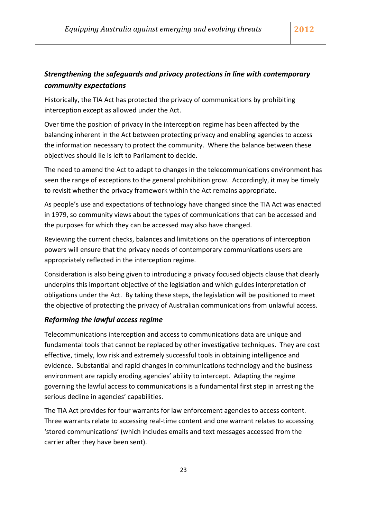## *Strengthening the safeguards and privacy protections in line with contemporary community expectations*

Historically, the TIA Act has protected the privacy of communications by prohibiting interception except as allowed under the Act.

Over time the position of privacy in the interception regime has been affected by the balancing inherent in the Act between protecting privacy and enabling agencies to access the information necessary to protect the community. Where the balance between these objectives should lie is left to Parliament to decide.

The need to amend the Act to adapt to changes in the telecommunications environment has seen the range of exceptions to the general prohibition grow. Accordingly, it may be timely to revisit whether the privacy framework within the Act remains appropriate.

As people's use and expectations of technology have changed since the TIA Act was enacted in 1979, so community views about the types of communications that can be accessed and the purposes for which they can be accessed may also have changed.

Reviewing the current checks, balances and limitations on the operations of interception powers will ensure that the privacy needs of contemporary communications users are appropriately reflected in the interception regime.

Consideration is also being given to introducing a privacy focused objects clause that clearly underpins this important objective of the legislation and which guides interpretation of obligations under the Act. By taking these steps, the legislation will be positioned to meet the objective of protecting the privacy of Australian communications from unlawful access.

## *Reforming the lawful access regime*

Telecommunications interception and access to communications data are unique and fundamental tools that cannot be replaced by other investigative techniques. They are cost effective, timely, low risk and extremely successful tools in obtaining intelligence and evidence. Substantial and rapid changes in communications technology and the business environment are rapidly eroding agencies' ability to intercept. Adapting the regime governing the lawful access to communications is a fundamental first step in arresting the serious decline in agencies' capabilities.

The TIA Act provides for four warrants for law enforcement agencies to access content. Three warrants relate to accessing real-time content and one warrant relates to accessing 'stored communications' (which includes emails and text messages accessed from the carrier after they have been sent).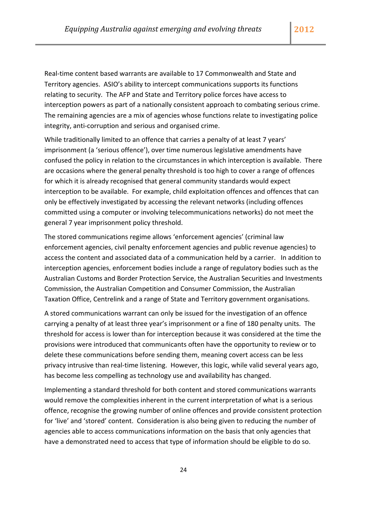Real‐time content based warrants are available to 17 Commonwealth and State and Territory agencies. ASIO's ability to intercept communications supports its functions relating to security. The AFP and State and Territory police forces have access to interception powers as part of a nationally consistent approach to combating serious crime. The remaining agencies are a mix of agencies whose functions relate to investigating police integrity, anti‐corruption and serious and organised crime.

While traditionally limited to an offence that carries a penalty of at least 7 years' imprisonment (a 'serious offence'), over time numerous legislative amendments have confused the policy in relation to the circumstances in which interception is available. There are occasions where the general penalty threshold is too high to cover a range of offences for which it is already recognised that general community standards would expect interception to be available. For example, child exploitation offences and offences that can only be effectively investigated by accessing the relevant networks (including offences committed using a computer or involving telecommunications networks) do not meet the general 7 year imprisonment policy threshold.

The stored communications regime allows 'enforcement agencies' (criminal law enforcement agencies, civil penalty enforcement agencies and public revenue agencies) to access the content and associated data of a communication held by a carrier. In addition to interception agencies, enforcement bodies include a range of regulatory bodies such as the Australian Customs and Border Protection Service, the Australian Securities and Investments Commission, the Australian Competition and Consumer Commission, the Australian Taxation Office, Centrelink and a range of State and Territory government organisations.

A stored communications warrant can only be issued for the investigation of an offence carrying a penalty of at least three year's imprisonment or a fine of 180 penalty units. The threshold for access is lower than for interception because it was considered at the time the provisions were introduced that communicants often have the opportunity to review or to delete these communications before sending them, meaning covert access can be less privacy intrusive than real-time listening. However, this logic, while valid several years ago, has become less compelling as technology use and availability has changed.

Implementing a standard threshold for both content and stored communications warrants would remove the complexities inherent in the current interpretation of what is a serious offence, recognise the growing number of online offences and provide consistent protection for 'live' and 'stored' content. Consideration is also being given to reducing the number of agencies able to access communications information on the basis that only agencies that have a demonstrated need to access that type of information should be eligible to do so.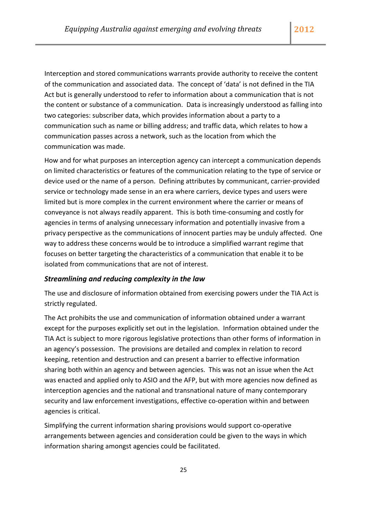Interception and stored communications warrants provide authority to receive the content of the communication and associated data. The concept of 'data' is not defined in the TIA Act but is generally understood to refer to information about a communication that is not the content or substance of a communication. Data is increasingly understood as falling into two categories: subscriber data, which provides information about a party to a communication such as name or billing address; and traffic data, which relates to how a communication passes across a network, such as the location from which the communication was made.

How and for what purposes an interception agency can intercept a communication depends on limited characteristics or features of the communication relating to the type of service or device used or the name of a person. Defining attributes by communicant, carrier‐provided service or technology made sense in an era where carriers, device types and users were limited but is more complex in the current environment where the carrier or means of conveyance is not always readily apparent. This is both time‐consuming and costly for agencies in terms of analysing unnecessary information and potentially invasive from a privacy perspective as the communications of innocent parties may be unduly affected. One way to address these concerns would be to introduce a simplified warrant regime that focuses on better targeting the characteristics of a communication that enable it to be isolated from communications that are not of interest.

#### *Streamlining and reducing complexity in the law*

The use and disclosure of information obtained from exercising powers under the TIA Act is strictly regulated.

The Act prohibits the use and communication of information obtained under a warrant except for the purposes explicitly set out in the legislation. Information obtained under the TIA Act is subject to more rigorous legislative protections than other forms of information in an agency's possession. The provisions are detailed and complex in relation to record keeping, retention and destruction and can present a barrier to effective information sharing both within an agency and between agencies. This was not an issue when the Act was enacted and applied only to ASIO and the AFP, but with more agencies now defined as interception agencies and the national and transnational nature of many contemporary security and law enforcement investigations, effective co-operation within and between agencies is critical.

Simplifying the current information sharing provisions would support co-operative arrangements between agencies and consideration could be given to the ways in which information sharing amongst agencies could be facilitated.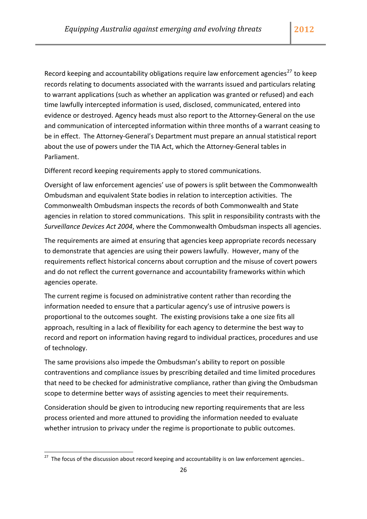Record keeping and accountability obligations require law enforcement agencies<sup>[27](#page-26-0)</sup> to keep records relating to documents associated with the warrants issued and particulars relating to warrant applications (such as whether an application was granted or refused) and each time lawfully intercepted information is used, disclosed, communicated, entered into evidence or destroyed. Agency heads must also report to the Attorney‐General on the use and communication of intercepted information within three months of a warrant ceasing to be in effect. The Attorney‐General's Department must prepare an annual statistical report about the use of powers under the TIA Act, which the Attorney‐General tables in Parliament.

Different record keeping requirements apply to stored communications.

Oversight of law enforcement agencies' use of powers is split between the Commonwealth Ombudsman and equivalent State bodies in relation to interception activities. The Commonwealth Ombudsman inspects the records of both Commonwealth and State agencies in relation to stored communications. This split in responsibility contrasts with the *Surveillance Devices Act 2004*, where the Commonwealth Ombudsman inspects all agencies.

The requirements are aimed at ensuring that agencies keep appropriate records necessary to demonstrate that agencies are using their powers lawfully. However, many of the requirements reflect historical concerns about corruption and the misuse of covert powers and do not reflect the current governance and accountability frameworks within which agencies operate.

The current regime is focused on administrative content rather than recording the information needed to ensure that a particular agency's use of intrusive powers is proportional to the outcomes sought. The existing provisions take a one size fits all approach, resulting in a lack of flexibility for each agency to determine the best way to record and report on information having regard to individual practices, procedures and use of technology.

The same provisions also impede the Ombudsman's ability to report on possible contraventions and compliance issues by prescribing detailed and time limited procedures that need to be checked for administrative compliance, rather than giving the Ombudsman scope to determine better ways of assisting agencies to meet their requirements.

Consideration should be given to introducing new reporting requirements that are less process oriented and more attuned to providing the information needed to evaluate whether intrusion to privacy under the regime is proportionate to public outcomes.

<span id="page-26-0"></span> $27$  The focus of the discussion about record keeping and accountability is on law enforcement agencies..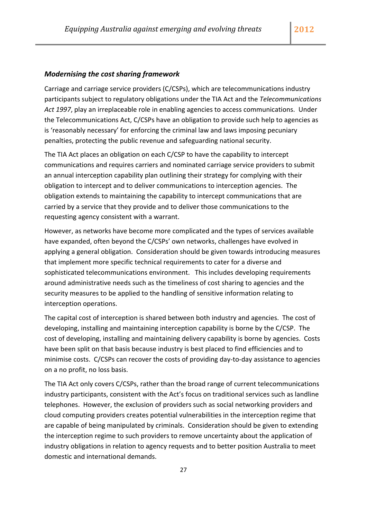#### *Modernising the cost sharing framework*

Carriage and carriage service providers (C/CSPs), which are telecommunications industry participants subject to regulatory obligations under the TIA Act and the *Telecommunications Act 1997*, play an irreplaceable role in enabling agencies to access communications. Under the Telecommunications Act, C/CSPs have an obligation to provide such help to agencies as is 'reasonably necessary' for enforcing the criminal law and laws imposing pecuniary penalties, protecting the public revenue and safeguarding national security.

The TIA Act places an obligation on each C/CSP to have the capability to intercept communications and requires carriers and nominated carriage service providers to submit an annual interception capability plan outlining their strategy for complying with their obligation to intercept and to deliver communications to interception agencies. The obligation extends to maintaining the capability to intercept communications that are carried by a service that they provide and to deliver those communications to the requesting agency consistent with a warrant.

However, as networks have become more complicated and the types of services available have expanded, often beyond the C/CSPs' own networks, challenges have evolved in applying a general obligation. Consideration should be given towards introducing measures that implement more specific technical requirements to cater for a diverse and sophisticated telecommunications environment. This includes developing requirements around administrative needs such as the timeliness of cost sharing to agencies and the security measures to be applied to the handling of sensitive information relating to interception operations.

The capital cost of interception is shared between both industry and agencies. The cost of developing, installing and maintaining interception capability is borne by the C/CSP. The cost of developing, installing and maintaining delivery capability is borne by agencies. Costs have been split on that basis because industry is best placed to find efficiencies and to minimise costs. C/CSPs can recover the costs of providing day‐to‐day assistance to agencies on a no profit, no loss basis.

The TIA Act only covers C/CSPs, rather than the broad range of current telecommunications industry participants, consistent with the Act's focus on traditional services such as landline telephones. However, the exclusion of providers such as social networking providers and cloud computing providers creates potential vulnerabilities in the interception regime that are capable of being manipulated by criminals. Consideration should be given to extending the interception regime to such providers to remove uncertainty about the application of industry obligations in relation to agency requests and to better position Australia to meet domestic and international demands.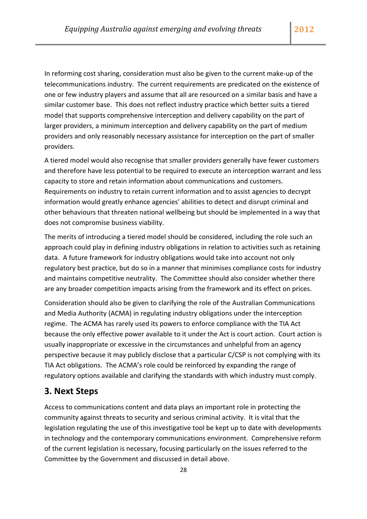<span id="page-28-0"></span>In reforming cost sharing, consideration must also be given to the current make‐up of the telecommunications industry. The current requirements are predicated on the existence of one or few industry players and assume that all are resourced on a similar basis and have a similar customer base. This does not reflect industry practice which better suits a tiered model that supports comprehensive interception and delivery capability on the part of larger providers, a minimum interception and delivery capability on the part of medium providers and only reasonably necessary assistance for interception on the part of smaller providers.

A tiered model would also recognise that smaller providers generally have fewer customers and therefore have less potential to be required to execute an interception warrant and less capacity to store and retain information about communications and customers. Requirements on industry to retain current information and to assist agencies to decrypt information would greatly enhance agencies' abilities to detect and disrupt criminal and other behaviours that threaten national wellbeing but should be implemented in a way that does not compromise business viability.

The merits of introducing a tiered model should be considered, including the role such an approach could play in defining industry obligations in relation to activities such as retaining data. A future framework for industry obligations would take into account not only regulatory best practice, but do so in a manner that minimises compliance costs for industry and maintains competitive neutrality. The Committee should also consider whether there are any broader competition impacts arising from the framework and its effect on prices.

Consideration should also be given to clarifying the role of the Australian Communications and Media Authority (ACMA) in regulating industry obligations under the interception regime. The ACMA has rarely used its powers to enforce compliance with the TIA Act because the only effective power available to it under the Act is court action. Court action is usually inappropriate or excessive in the circumstances and unhelpful from an agency perspective because it may publicly disclose that a particular C/CSP is not complying with its TIA Act obligations. The ACMA's role could be reinforced by expanding the range of regulatory options available and clarifying the standards with which industry must comply.

## **3. Next Steps**

Access to communications content and data plays an important role in protecting the community against threats to security and serious criminal activity. It is vital that the legislation regulating the use of this investigative tool be kept up to date with developments in technology and the contemporary communications environment. Comprehensive reform of the current legislation is necessary, focusing particularly on the issues referred to the Committee by the Government and discussed in detail above.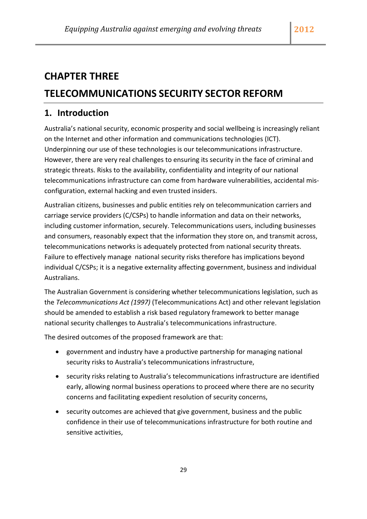## <span id="page-29-0"></span>**CHAPTER THREE**

## **TELECOMMUNICATIONS SECURITY SECTOR REFORM**

## **1. Introduction**

Australia's national security, economic prosperity and social wellbeing is increasingly reliant on the Internet and other information and communications technologies (ICT). Underpinning our use of these technologies is our telecommunications infrastructure. However, there are very real challenges to ensuring its security in the face of criminal and strategic threats. Risks to the availability, confidentiality and integrity of our national telecommunications infrastructure can come from hardware vulnerabilities, accidental mis‐ configuration, external hacking and even trusted insiders.

Australian citizens, businesses and public entities rely on telecommunication carriers and carriage service providers (C/CSPs) to handle information and data on their networks, including customer information, securely. Telecommunications users, including businesses and consumers, reasonably expect that the information they store on, and transmit across, telecommunications networks is adequately protected from national security threats. Failure to effectively manage national security risks therefore has implications beyond individual C/CSPs; it is a negative externality affecting government, business and individual Australians.

The Australian Government is considering whether telecommunications legislation, such as the *Telecommunications Act (1997)* (Telecommunications Act) and other relevant legislation should be amended to establish a risk based regulatory framework to better manage national security challenges to Australia's telecommunications infrastructure.

The desired outcomes of the proposed framework are that:

- government and industry have a productive partnership for managing national security risks to Australia's telecommunications infrastructure,
- security risks relating to Australia's telecommunications infrastructure are identified early, allowing normal business operations to proceed where there are no security concerns and facilitating expedient resolution of security concerns,
- security outcomes are achieved that give government, business and the public confidence in their use of telecommunications infrastructure for both routine and sensitive activities,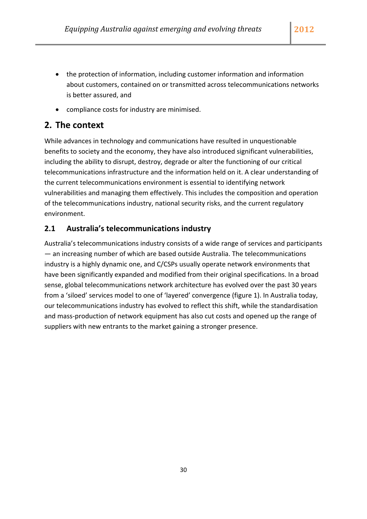- the protection of information, including customer information and information about customers, contained on or transmitted across telecommunications networks
- compliance costs for industry are minimised.

## **2. The context**

is better assured, and

While advances in technology and communications have resulted in unquestionable benefits to society and the economy, they have also introduced significant vulnerabilities, including the ability to disrupt, destroy, degrade or alter the functioning of our critical telecommunications infrastructure and the information held on it. A clear understanding of the current telecommunications environment is essential to identifying network vulnerabilities and managing them effectively. This includes the composition and operation of the telecommunications industry, national security risks, and the current regulatory environment.

## **2.1 Australia's telecommunications industry**

Australia's telecommunications industry consists of a wide range of services and participants — an increasing number of which are based outside Australia. The telecommunications industry is a highly dynamic one, and C/CSPs usually operate network environments that have been significantly expanded and modified from their original specifications. In a broad sense, global telecommunications network architecture has evolved over the past 30 years from a 'siloed' services model to one of 'layered' convergence (figure 1). In Australia today, our telecommunications industry has evolved to reflect this shift, while the standardisation and mass‐production of network equipment has also cut costs and opened up the range of suppliers with new entrants to the market gaining a stronger presence.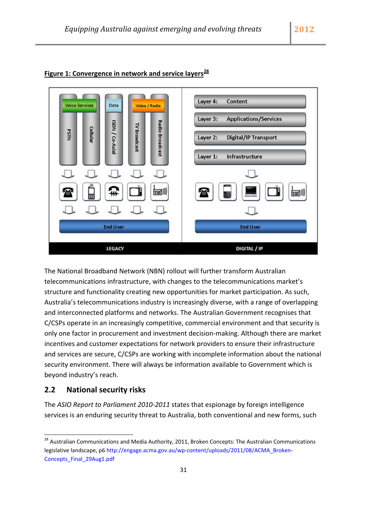

## **Figure 1: Convergence in network and service layers[28](#page-31-0)**

The National Broadband Network (NBN) rollout will further transform Australian telecommunications infrastructure, with changes to the telecommunications market's structure and functionality creating new opportunities for market participation. As such, Australia's telecommunications industry is increasingly diverse, with a range of overlapping and interconnected platforms and networks. The Australian Government recognises that C/CSPs operate in an increasingly competitive, commercial environment and that security is only one factor in procurement and investment decision‐making. Although there are market incentives and customer expectations for network providers to ensure their infrastructure and services are secure, C/CSPs are working with incomplete information about the national security environment. There will always be information available to Government which is beyond industry's reach.

### **2.2 National security risks**

The *ASIO Report to Parliament 2010‐2011* states that espionage by foreign intelligence services is an enduring security threat to Australia, both conventional and new forms, such

<span id="page-31-0"></span><sup>&</sup>lt;sup>28</sup> Australian Communications and Media Authority, 2011, Broken Concepts: The Australian Communications legislative landscape, p6 http://engage.acma.gov.au/wp-[content/uploads/2011/08/ACMA\\_Broken](http://engage.acma.gov.au/wp-content/uploads/2011/08/ACMA_Broken-Concepts_Final_29Aug1.pdf)-[Concepts\\_Final\\_29Aug1.pdf](http://engage.acma.gov.au/wp-content/uploads/2011/08/ACMA_Broken-Concepts_Final_29Aug1.pdf)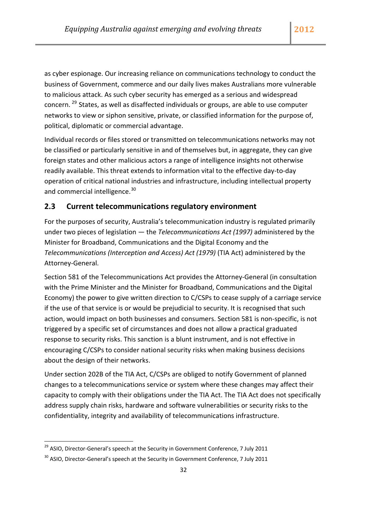as cyber espionage. Our increasing reliance on communications technology to conduct the business of Government, commerce and our daily lives makes Australians more vulnerable to malicious attack. As such cyber security has emerged as a serious and widespread concern. [29](#page-32-0) States, as well as disaffected individuals or groups, are able to use computer networks to view or siphon sensitive, private, or classified information for the purpose of, political, diplomatic or commercial advantage.

Individual records or files stored or transmitted on telecommunications networks may not be classified or particularly sensitive in and of themselves but, in aggregate, they can give foreign states and other malicious actors a range of intelligence insights not otherwise readily available. This threat extends to information vital to the effective day‐to‐day operation of critical national industries and infrastructure, including intellectual property and commercial intelligence.<sup>[30](#page-32-1)</sup>

## **2.3 Current telecommunications regulatory environment**

For the purposes of security, Australia's telecommunication industry is regulated primarily under two pieces of legislation — the *Telecommunications Act (1997)* administered by the Minister for Broadband, Communications and the Digital Economy and the *Telecommunications (Interception and Access) Act (1979)* (TIA Act) administered by the Attorney‐General.

Section 581 of the Telecommunications Act provides the Attorney‐General (in consultation with the Prime Minister and the Minister for Broadband, Communications and the Digital Economy) the power to give written direction to C/CSPs to cease supply of a carriage service if the use of that service is or would be prejudicial to security. It is recognised that such action, would impact on both businesses and consumers. Section 581 is non‐specific, is not triggered by a specific set of circumstances and does not allow a practical graduated response to security risks. This sanction is a blunt instrument, and is not effective in encouraging C/CSPs to consider national security risks when making business decisions about the design of their networks.

Under section 202B of the TIA Act, C/CSPs are obliged to notify Government of planned changes to a telecommunications service or system where these changes may affect their capacity to comply with their obligations under the TIA Act. The TIA Act does not specifically address supply chain risks, hardware and software vulnerabilities or security risks to the confidentiality, integrity and availability of telecommunications infrastructure.

<span id="page-32-0"></span> $29$  ASIO, Director-General's speech at the Security in Government Conference, 7 July 2011

<span id="page-32-1"></span><sup>&</sup>lt;sup>30</sup> ASIO, Director-General's speech at the Security in Government Conference, 7 July 2011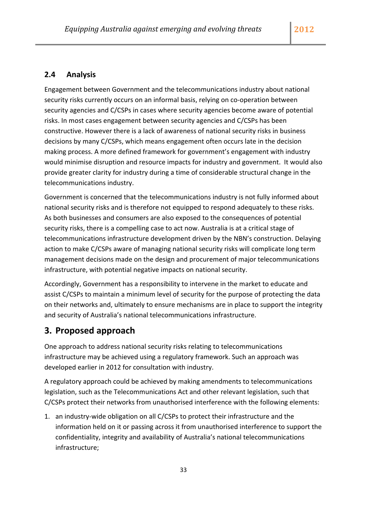### **2.4 Analysis**

Engagement between Government and the telecommunications industry about national security risks currently occurs on an informal basis, relying on co-operation between security agencies and C/CSPs in cases where security agencies become aware of potential risks. In most cases engagement between security agencies and C/CSPs has been constructive. However there is a lack of awareness of national security risks in business decisions by many C/CSPs, which means engagement often occurs late in the decision making process. A more defined framework for government's engagement with industry would minimise disruption and resource impacts for industry and government. It would also provide greater clarity for industry during a time of considerable structural change in the telecommunications industry.

Government is concerned that the telecommunications industry is not fully informed about national security risks and is therefore not equipped to respond adequately to these risks. As both businesses and consumers are also exposed to the consequences of potential security risks, there is a compelling case to act now. Australia is at a critical stage of telecommunications infrastructure development driven by the NBN's construction. Delaying action to make C/CSPs aware of managing national security risks will complicate long term management decisions made on the design and procurement of major telecommunications infrastructure, with potential negative impacts on national security.

Accordingly, Government has a responsibility to intervene in the market to educate and assist C/CSPs to maintain a minimum level of security for the purpose of protecting the data on their networks and, ultimately to ensure mechanisms are in place to support the integrity and security of Australia's national telecommunications infrastructure.

## **3. Proposed approach**

One approach to address national security risks relating to telecommunications infrastructure may be achieved using a regulatory framework. Such an approach was developed earlier in 2012 for consultation with industry.

A regulatory approach could be achieved by making amendments to telecommunications legislation, such as the Telecommunications Act and other relevant legislation, such that C/CSPs protect their networks from unauthorised interference with the following elements:

1. an industry-wide obligation on all C/CSPs to protect their infrastructure and the information held on it or passing across it from unauthorised interference to support the confidentiality, integrity and availability of Australia's national telecommunications infrastructure;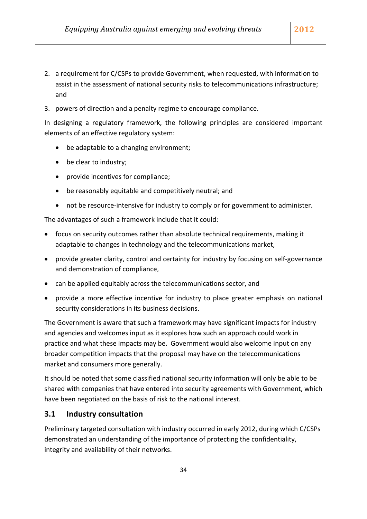- 2. a requirement for C/CSPs to provide Government, when requested, with information to assist in the assessment of national security risks to telecommunications infrastructure; and
- 3. powers of direction and a penalty regime to encourage compliance.

In designing a regulatory framework, the following principles are considered important elements of an effective regulatory system:

- be adaptable to a changing environment;
- be clear to industry;
- provide incentives for compliance;
- be reasonably equitable and competitively neutral; and
- not be resource‐intensive for industry to comply or for government to administer.

The advantages of such a framework include that it could:

- focus on security outcomes rather than absolute technical requirements, making it adaptable to changes in technology and the telecommunications market,
- provide greater clarity, control and certainty for industry by focusing on self‐governance and demonstration of compliance,
- can be applied equitably across the telecommunications sector, and
- provide a more effective incentive for industry to place greater emphasis on national security considerations in its business decisions.

The Government is aware that such a framework may have significant impacts for industry and agencies and welcomes input as it explores how such an approach could work in practice and what these impacts may be. Government would also welcome input on any broader competition impacts that the proposal may have on the telecommunications market and consumers more generally.

It should be noted that some classified national security information will only be able to be shared with companies that have entered into security agreements with Government, which have been negotiated on the basis of risk to the national interest.

#### **3.1 Industry consultation**

Preliminary targeted consultation with industry occurred in early 2012, during which C/CSPs demonstrated an understanding of the importance of protecting the confidentiality, integrity and availability of their networks.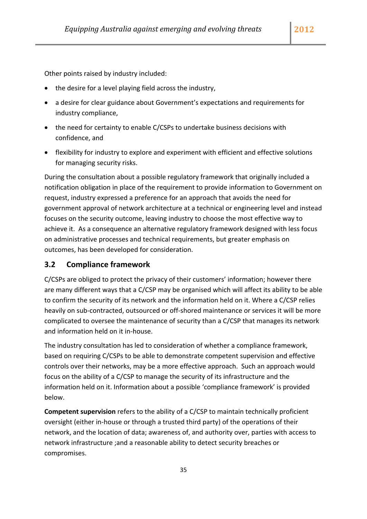Other points raised by industry included:

- the desire for a level playing field across the industry,
- a desire for clear guidance about Government's expectations and requirements for industry compliance,
- the need for certainty to enable C/CSPs to undertake business decisions with confidence, and
- flexibility for industry to explore and experiment with efficient and effective solutions for managing security risks.

During the consultation about a possible regulatory framework that originally included a notification obligation in place of the requirement to provide information to Government on request, industry expressed a preference for an approach that avoids the need for government approval of network architecture at a technical or engineering level and instead focuses on the security outcome, leaving industry to choose the most effective way to achieve it. As a consequence an alternative regulatory framework designed with less focus on administrative processes and technical requirements, but greater emphasis on outcomes, has been developed for consideration.

#### **3.2 Compliance framework**

C/CSPs are obliged to protect the privacy of their customers' information; however there are many different ways that a C/CSP may be organised which will affect its ability to be able to confirm the security of its network and the information held on it. Where a C/CSP relies heavily on sub‐contracted, outsourced or off‐shored maintenance or services it will be more complicated to oversee the maintenance of security than a C/CSP that manages its network and information held on it in‐house.

The industry consultation has led to consideration of whether a compliance framework, based on requiring C/CSPs to be able to demonstrate competent supervision and effective controls over their networks, may be a more effective approach. Such an approach would focus on the ability of a C/CSP to manage the security of its infrastructure and the information held on it. Information about a possible 'compliance framework' is provided below.

**Competent supervision** refers to the ability of a C/CSP to maintain technically proficient oversight (either in‐house or through a trusted third party) of the operations of their network, and the location of data; awareness of, and authority over, parties with access to network infrastructure ;and a reasonable ability to detect security breaches or compromises.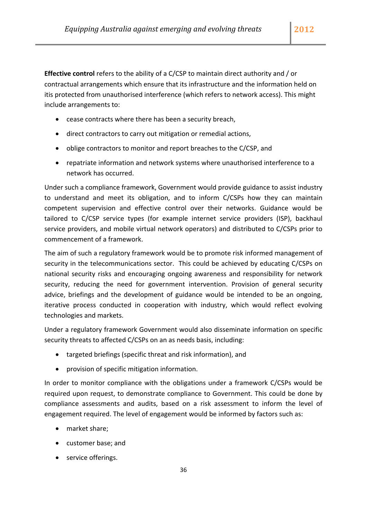**Effective control** refers to the ability of a C/CSP to maintain direct authority and / or contractual arrangements which ensure that its infrastructure and the information held on itis protected from unauthorised interference (which refers to network access). This might include arrangements to:

- cease contracts where there has been a security breach,
- direct contractors to carry out mitigation or remedial actions,
- oblige contractors to monitor and report breaches to the C/CSP, and
- repatriate information and network systems where unauthorised interference to a network has occurred.

Under such a compliance framework, Government would provide guidance to assist industry to understand and meet its obligation, and to inform C/CSPs how they can maintain competent supervision and effective control over their networks. Guidance would be tailored to C/CSP service types (for example internet service providers (ISP), backhaul service providers, and mobile virtual network operators) and distributed to C/CSPs prior to commencement of a framework.

The aim of such a regulatory framework would be to promote risk informed management of security in the telecommunications sector. This could be achieved by educating C/CSPs on national security risks and encouraging ongoing awareness and responsibility for network security, reducing the need for government intervention. Provision of general security advice, briefings and the development of guidance would be intended to be an ongoing, iterative process conducted in cooperation with industry, which would reflect evolving technologies and markets.

Under a regulatory framework Government would also disseminate information on specific security threats to affected C/CSPs on an as needs basis, including:

- targeted briefings (specific threat and risk information), and
- provision of specific mitigation information.

In order to monitor compliance with the obligations under a framework C/CSPs would be required upon request, to demonstrate compliance to Government. This could be done by compliance assessments and audits, based on a risk assessment to inform the level of engagement required. The level of engagement would be informed by factors such as:

- market share;
- customer base; and
- service offerings.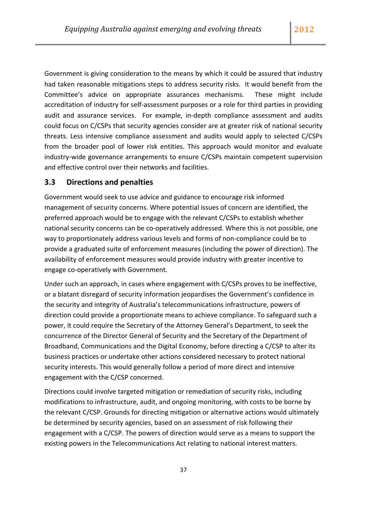Government is giving consideration to the means by which it could be assured that industry had taken reasonable mitigations steps to address security risks. It would benefit from the Committee's advice on appropriate assurances mechanisms. These might include accreditation of industry for self‐assessment purposes or a role for third parties in providing audit and assurance services. For example, in‐depth compliance assessment and audits could focus on C/CSPs that security agencies consider are at greater risk of national security threats. Less intensive compliance assessment and audits would apply to selected C/CSPs from the broader pool of lower risk entities. This approach would monitor and evaluate industry-wide governance arrangements to ensure C/CSPs maintain competent supervision and effective control over their networks and facilities.

### **3.3 Directions and penalties**

Government would seek to use advice and guidance to encourage risk informed management of security concerns. Where potential issues of concern are identified, the preferred approach would be to engage with the relevant C/CSPs to establish whether national security concerns can be co-operatively addressed. Where this is not possible, one way to proportionately address various levels and forms of non‐compliance could be to provide a graduated suite of enforcement measures (including the power of direction). The availability of enforcement measures would provide industry with greater incentive to engage co‐operatively with Government.

Under such an approach, in cases where engagement with C/CSPs proves to be ineffective, or a blatant disregard of security information jeopardises the Government's confidence in the security and integrity of Australia's telecommunications infrastructure, powers of direction could provide a proportionate means to achieve compliance. To safeguard such a power, it could require the Secretary of the Attorney General's Department, to seek the concurrence of the Director General of Security and the Secretary of the Department of Broadband, Communications and the Digital Economy, before directing a C/CSP to alter its business practices or undertake other actions considered necessary to protect national security interests. This would generally follow a period of more direct and intensive engagement with the C/CSP concerned.

Directions could involve targeted mitigation or remediation of security risks, including modifications to infrastructure, audit, and ongoing monitoring, with costs to be borne by the relevant C/CSP. Grounds for directing mitigation or alternative actions would ultimately be determined by security agencies, based on an assessment of risk following their engagement with a C/CSP. The powers of direction would serve as a means to support the existing powers in the Telecommunications Act relating to national interest matters.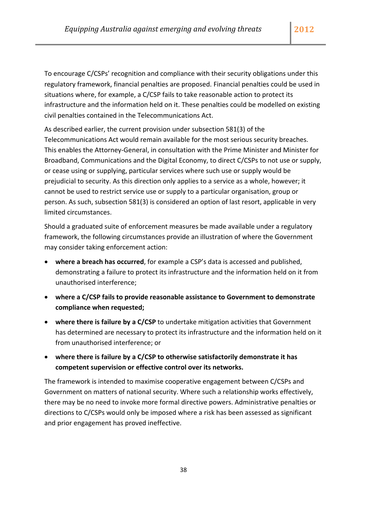To encourage C/CSPs' recognition and compliance with their security obligations under this regulatory framework, financial penalties are proposed. Financial penalties could be used in situations where, for example, a C/CSP fails to take reasonable action to protect its infrastructure and the information held on it. These penalties could be modelled on existing civil penalties contained in the Telecommunications Act.

As described earlier, the current provision under subsection 581(3) of the Telecommunications Act would remain available for the most serious security breaches. This enables the Attorney‐General, in consultation with the Prime Minister and Minister for Broadband, Communications and the Digital Economy, to direct C/CSPs to not use or supply, or cease using or supplying, particular services where such use or supply would be prejudicial to security. As this direction only applies to a service as a whole, however; it cannot be used to restrict service use or supply to a particular organisation, group or person. As such, subsection 581(3) is considered an option of last resort, applicable in very limited circumstances.

Should a graduated suite of enforcement measures be made available under a regulatory framework, the following circumstances provide an illustration of where the Government may consider taking enforcement action:

- **where a breach has occurred**, for example a CSP's data is accessed and published, demonstrating a failure to protect its infrastructure and the information held on it from unauthorised interference;
- **where a C/CSP fails to provide reasonable assistance to Government to demonstrate compliance when requested;**
- **where there is failure by a C/CSP** to undertake mitigation activities that Government has determined are necessary to protect its infrastructure and the information held on it from unauthorised interference; or
- **where there is failure by a C/CSP to otherwise satisfactorily demonstrate it has competent supervision or effective control over its networks.**

The framework is intended to maximise cooperative engagement between C/CSPs and Government on matters of national security. Where such a relationship works effectively, there may be no need to invoke more formal directive powers. Administrative penalties or directions to C/CSPs would only be imposed where a risk has been assessed as significant and prior engagement has proved ineffective.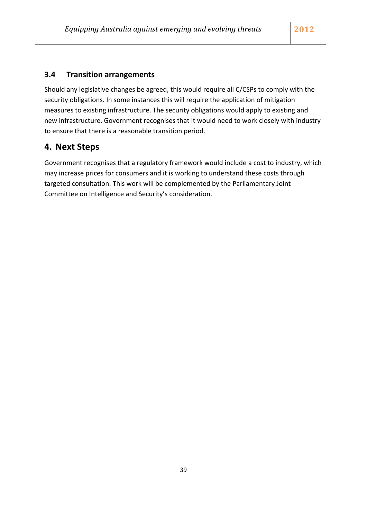## **3.4 Transition arrangements**

Should any legislative changes be agreed, this would require all C/CSPs to comply with the security obligations. In some instances this will require the application of mitigation measures to existing infrastructure. The security obligations would apply to existing and new infrastructure. Government recognises that it would need to work closely with industry to ensure that there is a reasonable transition period.

## **4. Next Steps**

Government recognises that a regulatory framework would include a cost to industry, which may increase prices for consumers and it is working to understand these costs through targeted consultation. This work will be complemented by the Parliamentary Joint Committee on Intelligence and Security's consideration.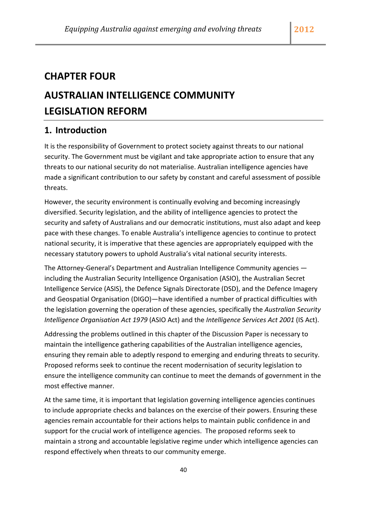## **CHAPTER FOUR**

## **AUSTRALIAN INTELLIGENCE COMMUNITY LEGISLATION REFORM**

## **1. Introduction**

It is the responsibility of Government to protect society against threats to our national security. The Government must be vigilant and take appropriate action to ensure that any threats to our national security do not materialise. Australian intelligence agencies have made a significant contribution to our safety by constant and careful assessment of possible threats.

However, the security environment is continually evolving and becoming increasingly diversified. Security legislation, and the ability of intelligence agencies to protect the security and safety of Australians and our democratic institutions, must also adapt and keep pace with these changes. To enable Australia's intelligence agencies to continue to protect national security, it is imperative that these agencies are appropriately equipped with the necessary statutory powers to uphold Australia's vital national security interests.

The Attorney‐General's Department and Australian Intelligence Community agencies including the Australian Security Intelligence Organisation (ASIO), the Australian Secret Intelligence Service (ASIS), the Defence Signals Directorate (DSD), and the Defence Imagery and Geospatial Organisation (DIGO)—have identified a number of practical difficulties with the legislation governing the operation of these agencies, specifically the *Australian Security Intelligence Organisation Act 1979* (ASIO Act) and the *Intelligence Services Act 2001* (IS Act).

Addressing the problems outlined in this chapter of the Discussion Paper is necessary to maintain the intelligence gathering capabilities of the Australian intelligence agencies, ensuring they remain able to adeptly respond to emerging and enduring threats to security. Proposed reforms seek to continue the recent modernisation of security legislation to ensure the intelligence community can continue to meet the demands of government in the most effective manner.

At the same time, it is important that legislation governing intelligence agencies continues to include appropriate checks and balances on the exercise of their powers. Ensuring these agencies remain accountable for their actions helps to maintain public confidence in and support for the crucial work of intelligence agencies. The proposed reforms seek to maintain a strong and accountable legislative regime under which intelligence agencies can respond effectively when threats to our community emerge.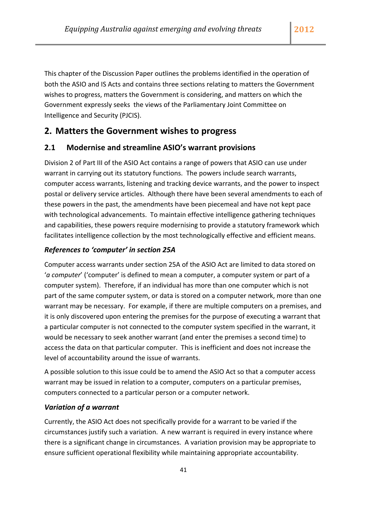This chapter of the Discussion Paper outlines the problems identified in the operation of both the ASIO and IS Acts and contains three sections relating to matters the Government wishes to progress, matters the Government is considering, and matters on which the Government expressly seeks the views of the Parliamentary Joint Committee on Intelligence and Security (PJCIS).

## **2. Matters the Government wishes to progress**

### **2.1 Modernise and streamline ASIO's warrant provisions**

Division 2 of Part III of the ASIO Act contains a range of powers that ASIO can use under warrant in carrying out its statutory functions. The powers include search warrants, computer access warrants, listening and tracking device warrants, and the power to inspect postal or delivery service articles. Although there have been several amendments to each of these powers in the past, the amendments have been piecemeal and have not kept pace with technological advancements. To maintain effective intelligence gathering techniques and capabilities, these powers require modernising to provide a statutory framework which facilitates intelligence collection by the most technologically effective and efficient means.

### *References to 'computer' in section 25A*

Computer access warrants under section 25A of the ASIO Act are limited to data stored on '*a computer*' ('computer' is defined to mean a computer, a computer system or part of a computer system). Therefore, if an individual has more than one computer which is not part of the same computer system, or data is stored on a computer network, more than one warrant may be necessary. For example, if there are multiple computers on a premises, and it is only discovered upon entering the premises for the purpose of executing a warrant that a particular computer is not connected to the computer system specified in the warrant, it would be necessary to seek another warrant (and enter the premises a second time) to access the data on that particular computer. This is inefficient and does not increase the level of accountability around the issue of warrants.

A possible solution to this issue could be to amend the ASIO Act so that a computer access warrant may be issued in relation to a computer, computers on a particular premises, computers connected to a particular person or a computer network.

#### *Variation of a warrant*

Currently, the ASIO Act does not specifically provide for a warrant to be varied if the circumstances justify such a variation. A new warrant is required in every instance where there is a significant change in circumstances. A variation provision may be appropriate to ensure sufficient operational flexibility while maintaining appropriate accountability.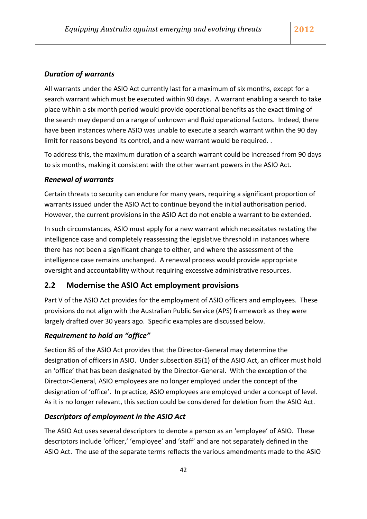### *Duration of warrants*

All warrants under the ASIO Act currently last for a maximum of six months, except for a search warrant which must be executed within 90 days. A warrant enabling a search to take place within a six month period would provide operational benefits as the exact timing of the search may depend on a range of unknown and fluid operational factors. Indeed, there have been instances where ASIO was unable to execute a search warrant within the 90 day limit for reasons beyond its control, and a new warrant would be required. .

To address this, the maximum duration of a search warrant could be increased from 90 days to six months, making it consistent with the other warrant powers in the ASIO Act.

#### *Renewal of warrants*

Certain threats to security can endure for many years, requiring a significant proportion of warrants issued under the ASIO Act to continue beyond the initial authorisation period. However, the current provisions in the ASIO Act do not enable a warrant to be extended.

In such circumstances, ASIO must apply for a new warrant which necessitates restating the intelligence case and completely reassessing the legislative threshold in instances where there has not been a significant change to either, and where the assessment of the intelligence case remains unchanged. A renewal process would provide appropriate oversight and accountability without requiring excessive administrative resources.

#### **2.2 Modernise the ASIO Act employment provisions**

Part V of the ASIO Act provides for the employment of ASIO officers and employees. These provisions do not align with the Australian Public Service (APS) framework as they were largely drafted over 30 years ago. Specific examples are discussed below.

#### *Requirement to hold an "office"*

Section 85 of the ASIO Act provides that the Director‐General may determine the designation of officers in ASIO. Under subsection 85(1) of the ASIO Act, an officer must hold an 'office' that has been designated by the Director‐General. With the exception of the Director‐General, ASIO employees are no longer employed under the concept of the designation of 'office'. In practice, ASIO employees are employed under a concept of level. As it is no longer relevant, this section could be considered for deletion from the ASIO Act.

#### *Descriptors of employment in the ASIO Act*

The ASIO Act uses several descriptors to denote a person as an 'employee' of ASIO. These descriptors include 'officer,' 'employee' and 'staff' and are not separately defined in the ASIO Act. The use of the separate terms reflects the various amendments made to the ASIO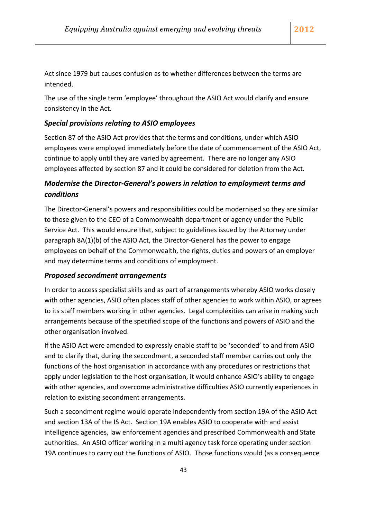Act since 1979 but causes confusion as to whether differences between the terms are intended.

The use of the single term 'employee' throughout the ASIO Act would clarify and ensure consistency in the Act.

### *Special provisions relating to ASIO employees*

Section 87 of the ASIO Act provides that the terms and conditions, under which ASIO employees were employed immediately before the date of commencement of the ASIO Act, continue to apply until they are varied by agreement. There are no longer any ASIO employees affected by section 87 and it could be considered for deletion from the Act.

## *Modernise the Director‐General's powers in relation to employment terms and conditions*

The Director‐General's powers and responsibilities could be modernised so they are similar to those given to the CEO of a Commonwealth department or agency under the Public Service Act. This would ensure that, subject to guidelines issued by the Attorney under paragraph 8A(1)(b) of the ASIO Act, the Director‐General has the power to engage employees on behalf of the Commonwealth, the rights, duties and powers of an employer and may determine terms and conditions of employment.

#### *Proposed secondment arrangements*

In order to access specialist skills and as part of arrangements whereby ASIO works closely with other agencies, ASIO often places staff of other agencies to work within ASIO, or agrees to its staff members working in other agencies. Legal complexities can arise in making such arrangements because of the specified scope of the functions and powers of ASIO and the other organisation involved.

If the ASIO Act were amended to expressly enable staff to be 'seconded' to and from ASIO and to clarify that, during the secondment, a seconded staff member carries out only the functions of the host organisation in accordance with any procedures or restrictions that apply under legislation to the host organisation, it would enhance ASIO's ability to engage with other agencies, and overcome administrative difficulties ASIO currently experiences in relation to existing secondment arrangements.

Such a secondment regime would operate independently from section 19A of the ASIO Act and section 13A of the IS Act. Section 19A enables ASIO to cooperate with and assist intelligence agencies, law enforcement agencies and prescribed Commonwealth and State authorities. An ASIO officer working in a multi agency task force operating under section 19A continues to carry out the functions of ASIO. Those functions would (as a consequence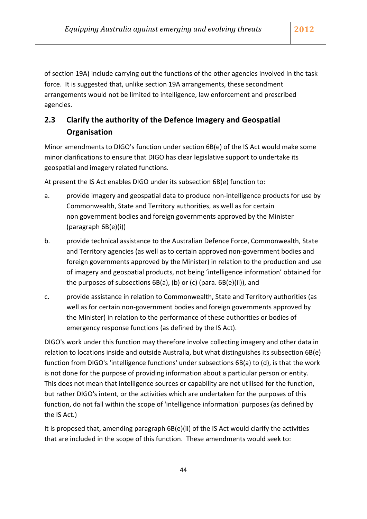of section 19A) include carrying out the functions of the other agencies involved in the task force. It is suggested that, unlike section 19A arrangements, these secondment arrangements would not be limited to intelligence, law enforcement and prescribed agencies.

## **2.3 Clarify the authority of the Defence Imagery and Geospatial Organisation**

Minor amendments to DIGO's function under section 6B(e) of the IS Act would make some minor clarifications to ensure that DIGO has clear legislative support to undertake its geospatial and imagery related functions.

At present the IS Act enables DIGO under its subsection 6B(e) function to:

- a. provide imagery and geospatial data to produce non‐intelligence products for use by Commonwealth, State and Territory authorities, as well as for certain non government bodies and foreign governments approved by the Minister (paragraph 6B(e)(i))
- b. provide technical assistance to the Australian Defence Force, Commonwealth, State and Territory agencies (as well as to certain approved non‐government bodies and foreign governments approved by the Minister) in relation to the production and use of imagery and geospatial products, not being 'intelligence information' obtained for the purposes of subsections 6B(a), (b) or (c) (para. 6B(e)(ii)), and
- c. provide assistance in relation to Commonwealth, State and Territory authorities (as well as for certain non‐government bodies and foreign governments approved by the Minister) in relation to the performance of these authorities or bodies of emergency response functions (as defined by the IS Act).

DIGO's work under this function may therefore involve collecting imagery and other data in relation to locations inside and outside Australia, but what distinguishes its subsection 6B(e) function from DIGO's 'intelligence functions' under subsections 6B(a) to (d), is that the work is not done for the purpose of providing information about a particular person or entity. This does not mean that intelligence sources or capability are not utilised for the function, but rather DIGO's intent, or the activities which are undertaken for the purposes of this function, do not fall within the scope of 'intelligence information' purposes (as defined by the IS Act.)

It is proposed that, amending paragraph 6B(e)(ii) of the IS Act would clarify the activities that are included in the scope of this function. These amendments would seek to: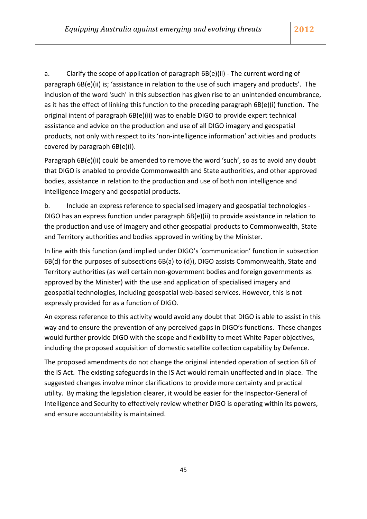a. Clarify the scope of application of paragraph 6B(e)(ii) ‐ The current wording of paragraph 6B(e)(ii) is; 'assistance in relation to the use of such imagery and products'. The inclusion of the word 'such' in this subsection has given rise to an unintended encumbrance, as it has the effect of linking this function to the preceding paragraph 6B(e)(i) function. The original intent of paragraph 6B(e)(ii) was to enable DIGO to provide expert technical assistance and advice on the production and use of all DIGO imagery and geospatial products, not only with respect to its 'non‐intelligence information' activities and products covered by paragraph 6B(e)(i).

Paragraph 6B(e)(ii) could be amended to remove the word 'such', so as to avoid any doubt that DIGO is enabled to provide Commonwealth and State authorities, and other approved bodies, assistance in relation to the production and use of both non intelligence and intelligence imagery and geospatial products.

b. Include an express reference to specialised imagery and geospatial technologies ‐ DIGO has an express function under paragraph 6B(e)(ii) to provide assistance in relation to the production and use of imagery and other geospatial products to Commonwealth, State and Territory authorities and bodies approved in writing by the Minister.

In line with this function (and implied under DIGO's 'communication' function in subsection 6B(d) for the purposes of subsections 6B(a) to (d)), DIGO assists Commonwealth, State and Territory authorities (as well certain non‐government bodies and foreign governments as approved by the Minister) with the use and application of specialised imagery and geospatial technologies, including geospatial web‐based services. However, this is not expressly provided for as a function of DIGO.

An express reference to this activity would avoid any doubt that DIGO is able to assist in this way and to ensure the prevention of any perceived gaps in DIGO's functions. These changes would further provide DIGO with the scope and flexibility to meet White Paper objectives, including the proposed acquisition of domestic satellite collection capability by Defence.

The proposed amendments do not change the original intended operation of section 6B of the IS Act. The existing safeguards in the IS Act would remain unaffected and in place. The suggested changes involve minor clarifications to provide more certainty and practical utility. By making the legislation clearer, it would be easier for the Inspector‐General of Intelligence and Security to effectively review whether DIGO is operating within its powers, and ensure accountability is maintained.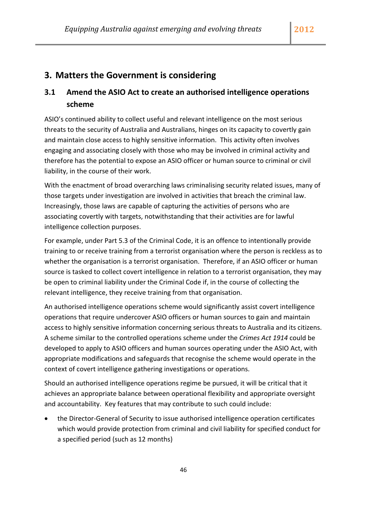## **3. Matters the Government is considering**

## **3.1 Amend the ASIO Act to create an authorised intelligence operations scheme**

ASIO's continued ability to collect useful and relevant intelligence on the most serious threats to the security of Australia and Australians, hinges on its capacity to covertly gain and maintain close access to highly sensitive information. This activity often involves engaging and associating closely with those who may be involved in criminal activity and therefore has the potential to expose an ASIO officer or human source to criminal or civil liability, in the course of their work.

With the enactment of broad overarching laws criminalising security related issues, many of those targets under investigation are involved in activities that breach the criminal law. Increasingly, those laws are capable of capturing the activities of persons who are associating covertly with targets, notwithstanding that their activities are for lawful intelligence collection purposes.

For example, under Part 5.3 of the Criminal Code, it is an offence to intentionally provide training to or receive training from a terrorist organisation where the person is reckless as to whether the organisation is a terrorist organisation. Therefore, if an ASIO officer or human source is tasked to collect covert intelligence in relation to a terrorist organisation, they may be open to criminal liability under the Criminal Code if, in the course of collecting the relevant intelligence, they receive training from that organisation.

An authorised intelligence operations scheme would significantly assist covert intelligence operations that require undercover ASIO officers or human sources to gain and maintain access to highly sensitive information concerning serious threats to Australia and its citizens. A scheme similar to the controlled operations scheme under the *Crimes Act 1914* could be developed to apply to ASIO officers and human sources operating under the ASIO Act, with appropriate modifications and safeguards that recognise the scheme would operate in the context of covert intelligence gathering investigations or operations.

Should an authorised intelligence operations regime be pursued, it will be critical that it achieves an appropriate balance between operational flexibility and appropriate oversight and accountability. Key features that may contribute to such could include:

• the Director-General of Security to issue authorised intelligence operation certificates which would provide protection from criminal and civil liability for specified conduct for a specified period (such as 12 months)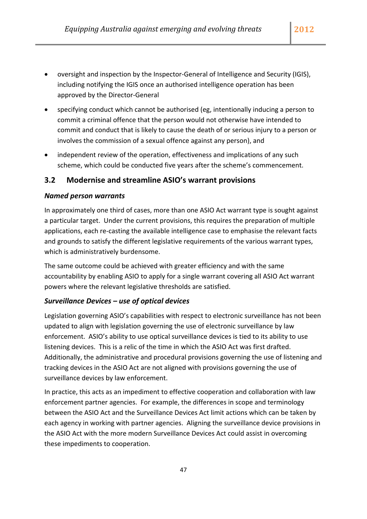- oversight and inspection by the Inspector‐General of Intelligence and Security (IGIS), including notifying the IGIS once an authorised intelligence operation has been approved by the Director‐General
- specifying conduct which cannot be authorised (eg, intentionally inducing a person to commit a criminal offence that the person would not otherwise have intended to commit and conduct that is likely to cause the death of or serious injury to a person or involves the commission of a sexual offence against any person), and
- independent review of the operation, effectiveness and implications of any such scheme, which could be conducted five years after the scheme's commencement.

### **3.2 Modernise and streamline ASIO's warrant provisions**

#### *Named person warrants*

In approximately one third of cases, more than one ASIO Act warrant type is sought against a particular target. Under the current provisions, this requires the preparation of multiple applications, each re‐casting the available intelligence case to emphasise the relevant facts and grounds to satisfy the different legislative requirements of the various warrant types, which is administratively burdensome.

The same outcome could be achieved with greater efficiency and with the same accountability by enabling ASIO to apply for a single warrant covering all ASIO Act warrant powers where the relevant legislative thresholds are satisfied.

#### *Surveillance Devices – use of optical devices*

Legislation governing ASIO's capabilities with respect to electronic surveillance has not been updated to align with legislation governing the use of electronic surveillance by law enforcement. ASIO's ability to use optical surveillance devices is tied to its ability to use listening devices. This is a relic of the time in which the ASIO Act was first drafted. Additionally, the administrative and procedural provisions governing the use of listening and tracking devices in the ASIO Act are not aligned with provisions governing the use of surveillance devices by law enforcement.

In practice, this acts as an impediment to effective cooperation and collaboration with law enforcement partner agencies. For example, the differences in scope and terminology between the ASIO Act and the Surveillance Devices Act limit actions which can be taken by each agency in working with partner agencies. Aligning the surveillance device provisions in the ASIO Act with the more modern Surveillance Devices Act could assist in overcoming these impediments to cooperation.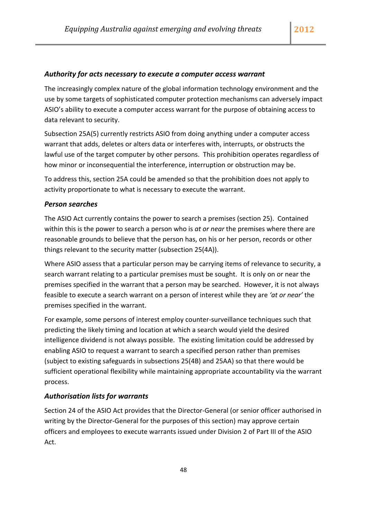#### *Authority for acts necessary to execute a computer access warrant*

The increasingly complex nature of the global information technology environment and the use by some targets of sophisticated computer protection mechanisms can adversely impact ASIO's ability to execute a computer access warrant for the purpose of obtaining access to data relevant to security.

Subsection 25A(5) currently restricts ASIO from doing anything under a computer access warrant that adds, deletes or alters data or interferes with, interrupts, or obstructs the lawful use of the target computer by other persons. This prohibition operates regardless of how minor or inconsequential the interference, interruption or obstruction may be.

To address this, section 25A could be amended so that the prohibition does not apply to activity proportionate to what is necessary to execute the warrant.

#### *Person searches*

The ASIO Act currently contains the power to search a premises (section 25). Contained within this is the power to search a person who is *at or near* the premises where there are reasonable grounds to believe that the person has, on his or her person, records or other things relevant to the security matter (subsection 25(4A)).

Where ASIO assess that a particular person may be carrying items of relevance to security, a search warrant relating to a particular premises must be sought. It is only on or near the premises specified in the warrant that a person may be searched. However, it is not always feasible to execute a search warrant on a person of interest while they are *'at or near'* the premises specified in the warrant.

For example, some persons of interest employ counter‐surveillance techniques such that predicting the likely timing and location at which a search would yield the desired intelligence dividend is not always possible. The existing limitation could be addressed by enabling ASIO to request a warrant to search a specified person rather than premises (subject to existing safeguards in subsections 25(4B) and 25AA) so that there would be sufficient operational flexibility while maintaining appropriate accountability via the warrant process.

#### *Authorisation lists for warrants*

Section 24 of the ASIO Act provides that the Director‐General (or senior officer authorised in writing by the Director‐General for the purposes of this section) may approve certain officers and employees to execute warrants issued under Division 2 of Part III of the ASIO Act.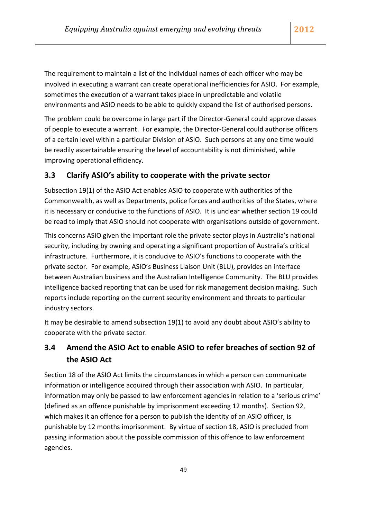The requirement to maintain a list of the individual names of each officer who may be involved in executing a warrant can create operational inefficiencies for ASIO. For example, sometimes the execution of a warrant takes place in unpredictable and volatile environments and ASIO needs to be able to quickly expand the list of authorised persons.

The problem could be overcome in large part if the Director‐General could approve classes of people to execute a warrant. For example, the Director‐General could authorise officers of a certain level within a particular Division of ASIO. Such persons at any one time would be readily ascertainable ensuring the level of accountability is not diminished, while improving operational efficiency.

## **3.3 Clarify ASIO's ability to cooperate with the private sector**

Subsection 19(1) of the ASIO Act enables ASIO to cooperate with authorities of the Commonwealth, as well as Departments, police forces and authorities of the States, where it is necessary or conducive to the functions of ASIO. It is unclear whether section 19 could be read to imply that ASIO should not cooperate with organisations outside of government.

This concerns ASIO given the important role the private sector plays in Australia's national security, including by owning and operating a significant proportion of Australia's critical infrastructure. Furthermore, it is conducive to ASIO's functions to cooperate with the private sector. For example, ASIO's Business Liaison Unit (BLU), provides an interface between Australian business and the Australian Intelligence Community. The BLU provides intelligence backed reporting that can be used for risk management decision making. Such reports include reporting on the current security environment and threats to particular industry sectors.

It may be desirable to amend subsection 19(1) to avoid any doubt about ASIO's ability to cooperate with the private sector.

## **3.4 Amend the ASIO Act to enable ASIO to refer breaches of section 92 of the ASIO Act**

Section 18 of the ASIO Act limits the circumstances in which a person can communicate information or intelligence acquired through their association with ASIO. In particular, information may only be passed to law enforcement agencies in relation to a 'serious crime' (defined as an offence punishable by imprisonment exceeding 12 months). Section 92, which makes it an offence for a person to publish the identity of an ASIO officer, is punishable by 12 months imprisonment. By virtue of section 18, ASIO is precluded from passing information about the possible commission of this offence to law enforcement agencies.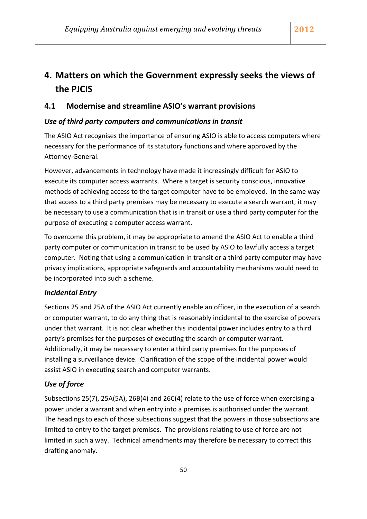## **4. Matters on which the Government expressly seeks the views of the PJCIS**

## **4.1 Modernise and streamline ASIO's warrant provisions**

### *Use of third party computers and communications in transit*

The ASIO Act recognises the importance of ensuring ASIO is able to access computers where necessary for the performance of its statutory functions and where approved by the Attorney‐General.

However, advancements in technology have made it increasingly difficult for ASIO to execute its computer access warrants. Where a target is security conscious, innovative methods of achieving access to the target computer have to be employed. In the same way that access to a third party premises may be necessary to execute a search warrant, it may be necessary to use a communication that is in transit or use a third party computer for the purpose of executing a computer access warrant.

To overcome this problem, it may be appropriate to amend the ASIO Act to enable a third party computer or communication in transit to be used by ASIO to lawfully access a target computer. Noting that using a communication in transit or a third party computer may have privacy implications, appropriate safeguards and accountability mechanisms would need to be incorporated into such a scheme.

### *Incidental Entry*

Sections 25 and 25A of the ASIO Act currently enable an officer, in the execution of a search or computer warrant, to do any thing that is reasonably incidental to the exercise of powers under that warrant. It is not clear whether this incidental power includes entry to a third party's premises for the purposes of executing the search or computer warrant. Additionally, it may be necessary to enter a third party premises for the purposes of installing a surveillance device. Clarification of the scope of the incidental power would assist ASIO in executing search and computer warrants.

#### *Use of force*

Subsections 25(7), 25A(5A), 26B(4) and 26C(4) relate to the use of force when exercising a power under a warrant and when entry into a premises is authorised under the warrant. The headings to each of those subsections suggest that the powers in those subsections are limited to entry to the target premises. The provisions relating to use of force are not limited in such a way. Technical amendments may therefore be necessary to correct this drafting anomaly.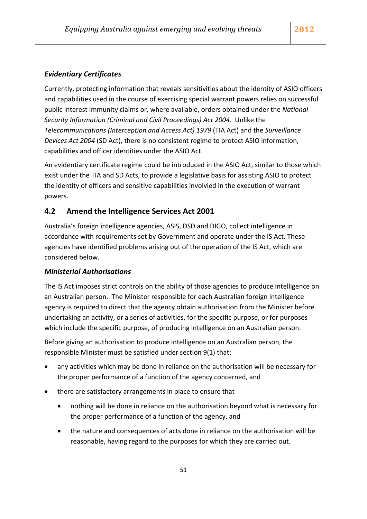### *Evidentiary Certificates*

Currently, protecting information that reveals sensitivities about the identity of ASIO officers and capabilities used in the course of exercising special warrant powers relies on successful public interest immunity claims or, where available, orders obtained under the *National Security Information (Criminal and Civil Proceedings) Act 2004*. Unlike the *Telecommunications (Interception and Access Act) 1979* (TIA Act) and the *Surveillance Devices Act 2004* (SD Act), there is no consistent regime to protect ASIO information, capabilities and officer identities under the ASIO Act.

An evidentiary certificate regime could be introduced in the ASIO Act, similar to those which exist under the TIA and SD Acts, to provide a legislative basis for assisting ASIO to protect the identity of officers and sensitive capabilities involvied in the execution of warrant powers.

### **4.2 Amend the Intelligence Services Act 2001**

Australia's foreign intelligence agencies, ASIS, DSD and DIGO, collect intelligence in accordance with requirements set by Government and operate under the IS Act. These agencies have identified problems arising out of the operation of the IS Act, which are considered below.

#### *Ministerial Authorisations*

The IS Act imposes strict controls on the ability of those agencies to produce intelligence on an Australian person. The Minister responsible for each Australian foreign intelligence agency is required to direct that the agency obtain authorisation from the Minister before undertaking an activity, or a series of activities, for the specific purpose, or for purposes which include the specific purpose, of producing intelligence on an Australian person.

Before giving an authorisation to produce intelligence on an Australian person, the responsible Minister must be satisfied under section 9(1) that:

- any activities which may be done in reliance on the authorisation will be necessary for the proper performance of a function of the agency concerned, and
- there are satisfactory arrangements in place to ensure that
	- nothing will be done in reliance on the authorisation beyond what is necessary for the proper performance of a function of the agency, and
	- the nature and consequences of acts done in reliance on the authorisation will be reasonable, having regard to the purposes for which they are carried out.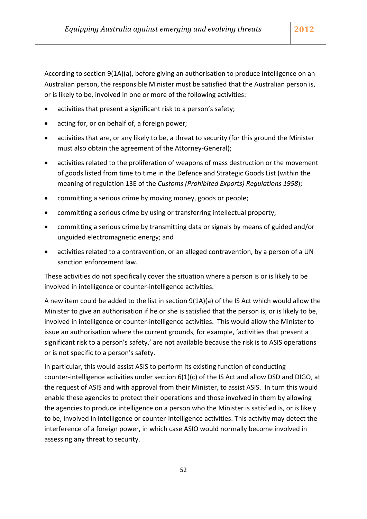According to section 9(1A)(a), before giving an authorisation to produce intelligence on an Australian person, the responsible Minister must be satisfied that the Australian person is, or is likely to be, involved in one or more of the following activities:

- activities that present a significant risk to a person's safety;
- acting for, or on behalf of, a foreign power;
- activities that are, or any likely to be, a threat to security (for this ground the Minister must also obtain the agreement of the Attorney‐General);
- activities related to the proliferation of weapons of mass destruction or the movement of goods listed from time to time in the Defence and Strategic Goods List (within the meaning of regulation 13E of the *Customs (Prohibited Exports) Regulations 1958*);
- committing a serious crime by moving money, goods or people;
- committing a serious crime by using or transferring intellectual property;
- committing a serious crime by transmitting data or signals by means of guided and/or unguided electromagnetic energy; and
- activities related to a contravention, or an alleged contravention, by a person of a UN sanction enforcement law.

These activities do not specifically cover the situation where a person is or is likely to be involved in intelligence or counter‐intelligence activities.

A new item could be added to the list in section 9(1A)(a) of the IS Act which would allow the Minister to give an authorisation if he or she is satisfied that the person is, or is likely to be, involved in intelligence or counter‐intelligence activities. This would allow the Minister to issue an authorisation where the current grounds, for example, 'activities that present a significant risk to a person's safety,' are not available because the risk is to ASIS operations or is not specific to a person's safety.

In particular, this would assist ASIS to perform its existing function of conducting counter-intelligence activities under section  $6(1)(c)$  of the IS Act and allow DSD and DIGO, at the request of ASIS and with approval from their Minister, to assist ASIS. In turn this would enable these agencies to protect their operations and those involved in them by allowing the agencies to produce intelligence on a person who the Minister is satisfied is, or is likely to be, involved in intelligence or counter‐intelligence activities. This activity may detect the interference of a foreign power, in which case ASIO would normally become involved in assessing any threat to security.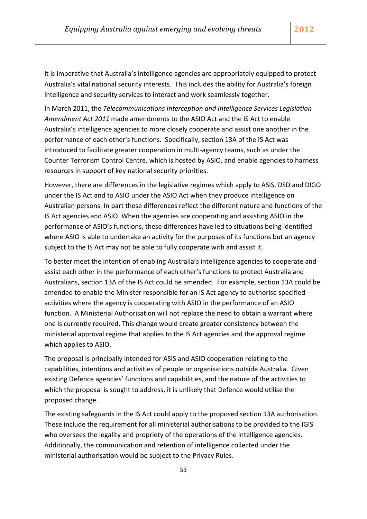It is imperative that Australia's intelligence agencies are appropriately equipped to protect Australia's vital national security interests. This includes the ability for Australia's foreign intelligence and security services to interact and work seamlessly together.

In March 2011, the *Telecommunications Interception and Intelligence Services Legislation Amendment Act 2011* made amendments to the ASIO Act and the IS Act to enable Australia's intelligence agencies to more closely cooperate and assist one another in the performance of each other's functions. Specifically, section 13A of the IS Act was introduced to facilitate greater cooperation in multi-agency teams, such as under the Counter Terrorism Control Centre, which is hosted by ASIO, and enable agencies to harness resources in support of key national security priorities.

However, there are differences in the legislative regimes which apply to ASIS, DSD and DIGO under the IS Act and to ASIO under the ASIO Act when they produce intelligence on Australian persons. In part these differences reflect the different nature and functions of the IS Act agencies and ASIO. When the agencies are cooperating and assisting ASIO in the performance of ASIO's functions, these differences have led to situations being identified where ASIO is able to undertake an activity for the purposes of its functions but an agency subject to the IS Act may not be able to fully cooperate with and assist it.

To better meet the intention of enabling Australia's intelligence agencies to cooperate and assist each other in the performance of each other's functions to protect Australia and Australians, section 13A of the IS Act could be amended. For example, section 13A could be amended to enable the Minister responsible for an IS Act agency to authorise specified activities where the agency is cooperating with ASIO in the performance of an ASIO function. A Ministerial Authorisation will not replace the need to obtain a warrant where one is currently required. This change would create greater consistency between the ministerial approval regime that applies to the IS Act agencies and the approval regime which applies to ASIO.

The proposal is principally intended for ASIS and ASIO cooperation relating to the capabilities, intentions and activities of people or organisations outside Australia. Given existing Defence agencies' functions and capabilities, and the nature of the activities to which the proposal is sought to address, it is unlikely that Defence would utilise the proposed change.

The existing safeguards in the IS Act could apply to the proposed section 13A authorisation. These include the requirement for all ministerial authorisations to be provided to the IGIS who oversees the legality and propriety of the operations of the intelligence agencies. Additionally, the communication and retention of intelligence collected under the ministerial authorisation would be subject to the Privacy Rules.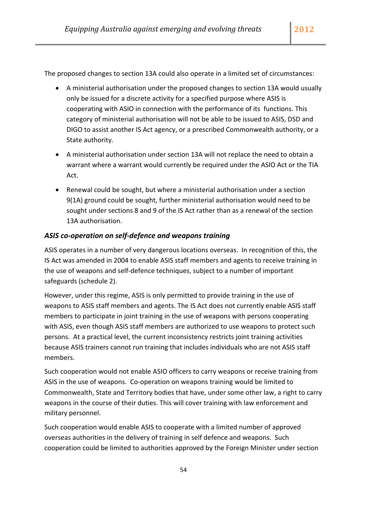The proposed changes to section 13A could also operate in a limited set of circumstances:

- A ministerial authorisation under the proposed changes to section 13A would usually only be issued for a discrete activity for a specified purpose where ASIS is cooperating with ASIO in connection with the performance of its functions. This category of ministerial authorisation will not be able to be issued to ASIS, DSD and DIGO to assist another IS Act agency, or a prescribed Commonwealth authority, or a State authority.
- A ministerial authorisation under section 13A will not replace the need to obtain a warrant where a warrant would currently be required under the ASIO Act or the TIA Act.
- Renewal could be sought, but where a ministerial authorisation under a section 9(1A) ground could be sought, further ministerial authorisation would need to be sought under sections 8 and 9 of the IS Act rather than as a renewal of the section 13A authorisation.

#### *ASIS co‐operation on self‐defence and weapons training*

ASIS operates in a number of very dangerous locations overseas. In recognition of this, the IS Act was amended in 2004 to enable ASIS staff members and agents to receive training in the use of weapons and self‐defence techniques, subject to a number of important safeguards (schedule 2).

However, under this regime, ASIS is only permitted to provide training in the use of weapons to ASIS staff members and agents. The IS Act does not currently enable ASIS staff members to participate in joint training in the use of weapons with persons cooperating with ASIS, even though ASIS staff members are authorized to use weapons to protect such persons. At a practical level, the current inconsistency restricts joint training activities because ASIS trainers cannot run training that includes individuals who are not ASIS staff members.

Such cooperation would not enable ASIO officers to carry weapons or receive training from ASIS in the use of weapons. Co‐operation on weapons training would be limited to Commonwealth, State and Territory bodies that have, under some other law, a right to carry weapons in the course of their duties. This will cover training with law enforcement and military personnel.

Such cooperation would enable ASIS to cooperate with a limited number of approved overseas authorities in the delivery of training in self defence and weapons. Such cooperation could be limited to authorities approved by the Foreign Minister under section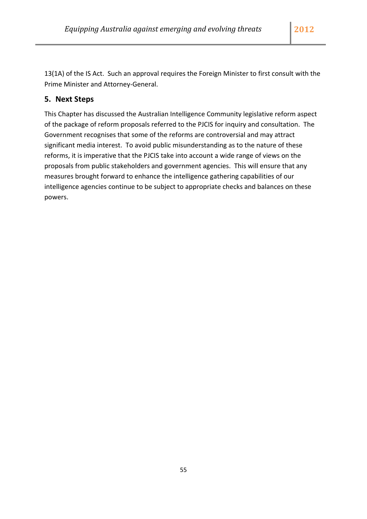13(1A) of the IS Act. Such an approval requires the Foreign Minister to first consult with the Prime Minister and Attorney‐General.

## **5. Next Steps**

This Chapter has discussed the Australian Intelligence Community legislative reform aspect of the package of reform proposals referred to the PJCIS for inquiry and consultation. The Government recognises that some of the reforms are controversial and may attract significant media interest. To avoid public misunderstanding as to the nature of these reforms, it is imperative that the PJCIS take into account a wide range of views on the proposals from public stakeholders and government agencies. This will ensure that any measures brought forward to enhance the intelligence gathering capabilities of our intelligence agencies continue to be subject to appropriate checks and balances on these powers.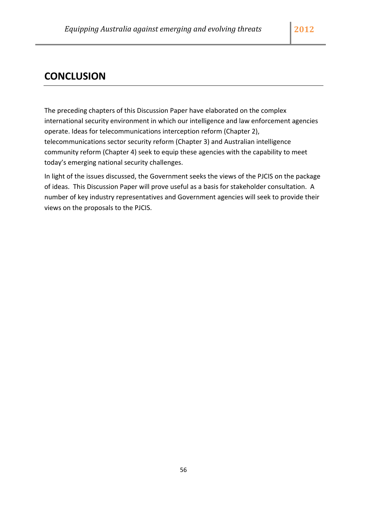## **CONCLUSION**

The preceding chapters of this Discussion Paper have elaborated on the complex international security environment in which our intelligence and law enforcement agencies operate. Ideas for telecommunications interception reform (Chapter 2), telecommunications sector security reform (Chapter 3) and Australian intelligence community reform (Chapter 4) seek to equip these agencies with the capability to meet today's emerging national security challenges.

In light of the issues discussed, the Government seeks the views of the PJCIS on the package of ideas. This Discussion Paper will prove useful as a basis for stakeholder consultation. A number of key industry representatives and Government agencies will seek to provide their views on the proposals to the PJCIS.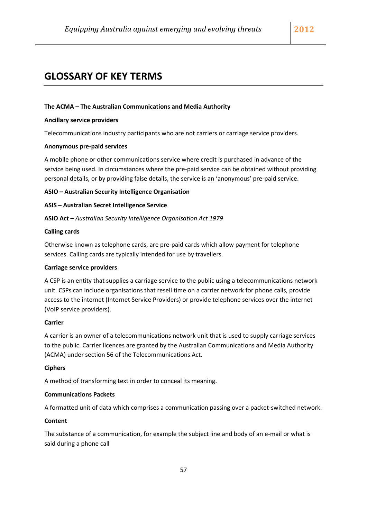## **GLOSSARY OF KEY TERMS**

#### **The ACMA – The Australian Communications and Media Authority**

#### **Ancillary service providers**

Telecommunications industry participants who are not carriers or carriage service providers.

#### **Anonymous pre‐paid services**

A mobile phone or other communications service where credit is purchased in advance of the service being used. In circumstances where the pre-paid service can be obtained without providing personal details, or by providing false details, the service is an 'anonymous' pre‐paid service.

#### **ASIO – Australian Security Intelligence Organisation**

#### **ASIS – Australian Secret Intelligence Service**

**ASIO Act –** *Australian Security Intelligence Organisation Act 1979*

#### **Calling cards**

Otherwise known as telephone cards, are pre‐paid cards which allow payment for telephone services. Calling cards are typically intended for use by travellers.

#### **Carriage service providers**

A CSP is an entity that supplies a carriage service to the public using a telecommunications network unit. CSPs can include organisations that resell time on a carrier network for phone calls, provide access to the internet (Internet Service Providers) or provide telephone services over the internet (VoIP service providers).

#### **Carrier**

A carrier is an owner of a telecommunications network unit that is used to supply carriage services to the public. Carrier licences are granted by the Australian Communications and Media Authority (ACMA) under section 56 of the Telecommunications Act.

#### **Ciphers**

A method of transforming text in order to conceal its meaning.

#### **Communications Packets**

A formatted unit of data which comprises a communication passing over a packet‐switched network.

#### **Content**

The substance of a communication, for example the subject line and body of an e-mail or what is said during a phone call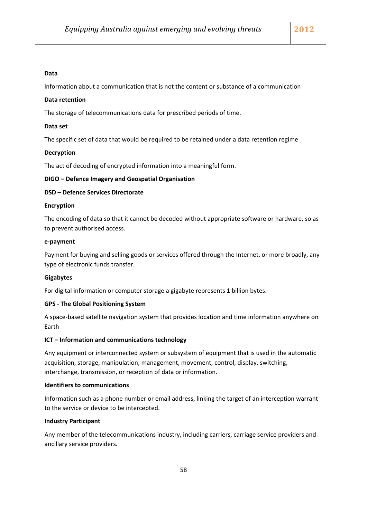#### **Data**

Information about a communication that is not the content or substance of a communication

#### **Data retention**

The storage of telecommunications data for prescribed periods of time.

#### **Data set**

The specific set of data that would be required to be retained under a data retention regime

#### **Decryption**

The act of decoding of encrypted information into a meaningful form.

#### **DIGO – Defence Imagery and Geospatial Organisation**

#### **DSD – Defence Services Directorate**

#### **Encryption**

The encoding of data so that it cannot be decoded without appropriate software or hardware, so as to prevent authorised access.

#### **e‐payment**

Payment for buying and selling goods or services offered through the Internet, or more broadly, any type of electronic funds transfer.

#### **Gigabytes**

For digital information or computer storage a gigabyte represents 1 billion bytes.

#### **GPS ‐ The Global Positioning System**

A space‐based satellite navigation system that provides location and time information anywhere on Earth

#### **ICT – Information and communications technology**

Any equipment or interconnected system or subsystem of equipment that is used in the automatic acquisition, storage, manipulation, management, movement, control, display, switching, interchange, transmission, or reception of data or information.

#### **Identifiers to communications**

Information such as a phone number or email address, linking the target of an interception warrant to the service or device to be intercepted.

#### **Industry Participant**

Any member of the telecommunications industry, including carriers, carriage service providers and ancillary service providers.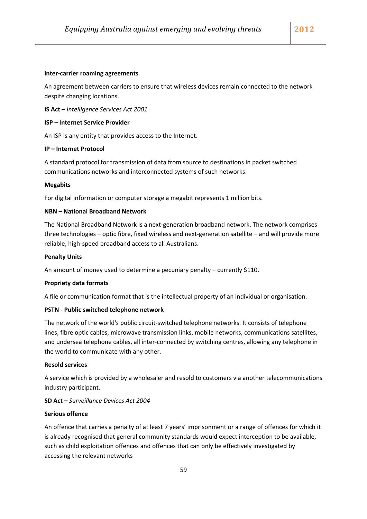#### **Inter‐carrier roaming agreements**

An agreement between carriers to ensure that wireless devices remain connected to the network despite changing locations.

**IS Act –** *Intelligence Services Act 2001*

#### **ISP – Internet Service Provider**

An ISP is any entity that provides access to the Internet.

#### **IP – Internet Protocol**

A standard protocol for transmission of data from source to destinations in packet switched communications networks and interconnected systems of such networks.

#### **Megabits**

For digital information or computer storage a megabit represents 1 million bits.

#### **NBN – National Broadband Network**

The National Broadband Network is a next‐generation broadband network. The network comprises three technologies – optic fibre, fixed wireless and next-generation satellite – and will provide more reliable, high‐speed broadband access to all Australians.

#### **Penalty Units**

An amount of money used to determine a pecuniary penalty – currently \$110.

#### **Propriety data formats**

A file or communication format that is the intellectual property of an individual or organisation.

#### **PSTN ‐ Public switched telephone network**

The network of the world's public circuit‐switched telephone networks. It consists of telephone lines, fibre optic cables, microwave transmission links, mobile networks, communications satellites, and undersea telephone cables, all inter‐connected by switching centres, allowing any telephone in the world to communicate with any other.

#### **Resold services**

A service which is provided by a wholesaler and resold to customers via another telecommunications industry participant.

#### **SD Act –** *Surveillance Devices Act 2004*

#### **Serious offence**

An offence that carries a penalty of at least 7 years' imprisonment or a range of offences for which it is already recognised that general community standards would expect interception to be available, such as child exploitation offences and offences that can only be effectively investigated by accessing the relevant networks